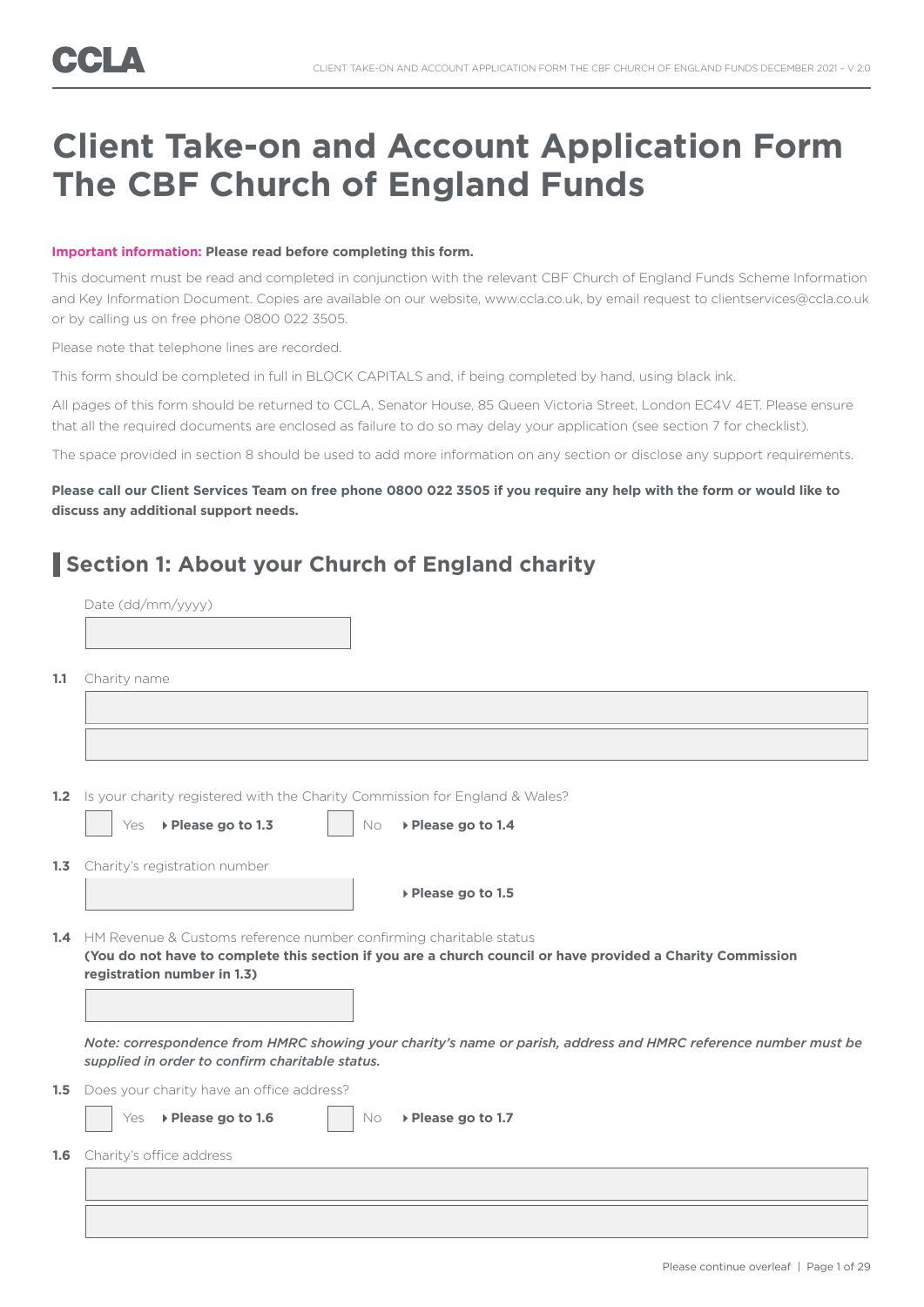# **Client Take-on and Account Application Form The CBF Church of England Funds**

### **Important information: Please read before completing this form.**

This document must be read and completed in conjunction with the relevant CBF Church of England Funds Scheme Information and Key Information Document. Copies are available on our website, www.ccla.co.uk, by email request to clientservices@ccla.co.uk or by calling us on free phone 0800 022 3505.

Please note that telephone lines are recorded.

Date (dd/mm/yyyy)

This form should be completed in full in BLOCK CAPITALS and, if being completed by hand, using black ink.

All pages of this form should be returned to CCLA, Senator House, 85 Queen Victoria Street, London EC4V 4ET. Please ensure that all the required documents are enclosed as failure to do so may delay your application (see section 7 for checklist).

The space provided in section 8 should be used to add more information on any section or disclose any support requirements.

### **Please call our Client Services Team on free phone 0800 022 3505 if you require any help with the form or would like to discuss any additional support needs.**

### **Section 1: About your Church of England charity**

| 1.1 | Charity name                                                                                                                                                                                                         |
|-----|----------------------------------------------------------------------------------------------------------------------------------------------------------------------------------------------------------------------|
|     |                                                                                                                                                                                                                      |
|     |                                                                                                                                                                                                                      |
| 1.2 | Is your charity registered with the Charity Commission for England & Wales?                                                                                                                                          |
|     | ▶ Please go to 1.3<br>▶ Please go to 1.4<br>Yes<br>No                                                                                                                                                                |
|     | 1.3 Charity's registration number                                                                                                                                                                                    |
|     | ▶ Please go to 1.5                                                                                                                                                                                                   |
|     | 1.4 HM Revenue & Customs reference number confirming charitable status<br>(You do not have to complete this section if you are a church council or have provided a Charity Commission<br>registration number in 1.3) |
|     | Note: correspondence from HMRC showing your charity's name or parish, address and HMRC reference number must be<br>supplied in order to confirm charitable status.                                                   |
|     | <b>1.5</b> Does your charity have an office address?                                                                                                                                                                 |
|     | ▶ Please go to 1.6<br>▶ Please go to 1.7<br>Yes<br>No                                                                                                                                                                |
| 1.6 | Charity's office address                                                                                                                                                                                             |
|     |                                                                                                                                                                                                                      |
|     |                                                                                                                                                                                                                      |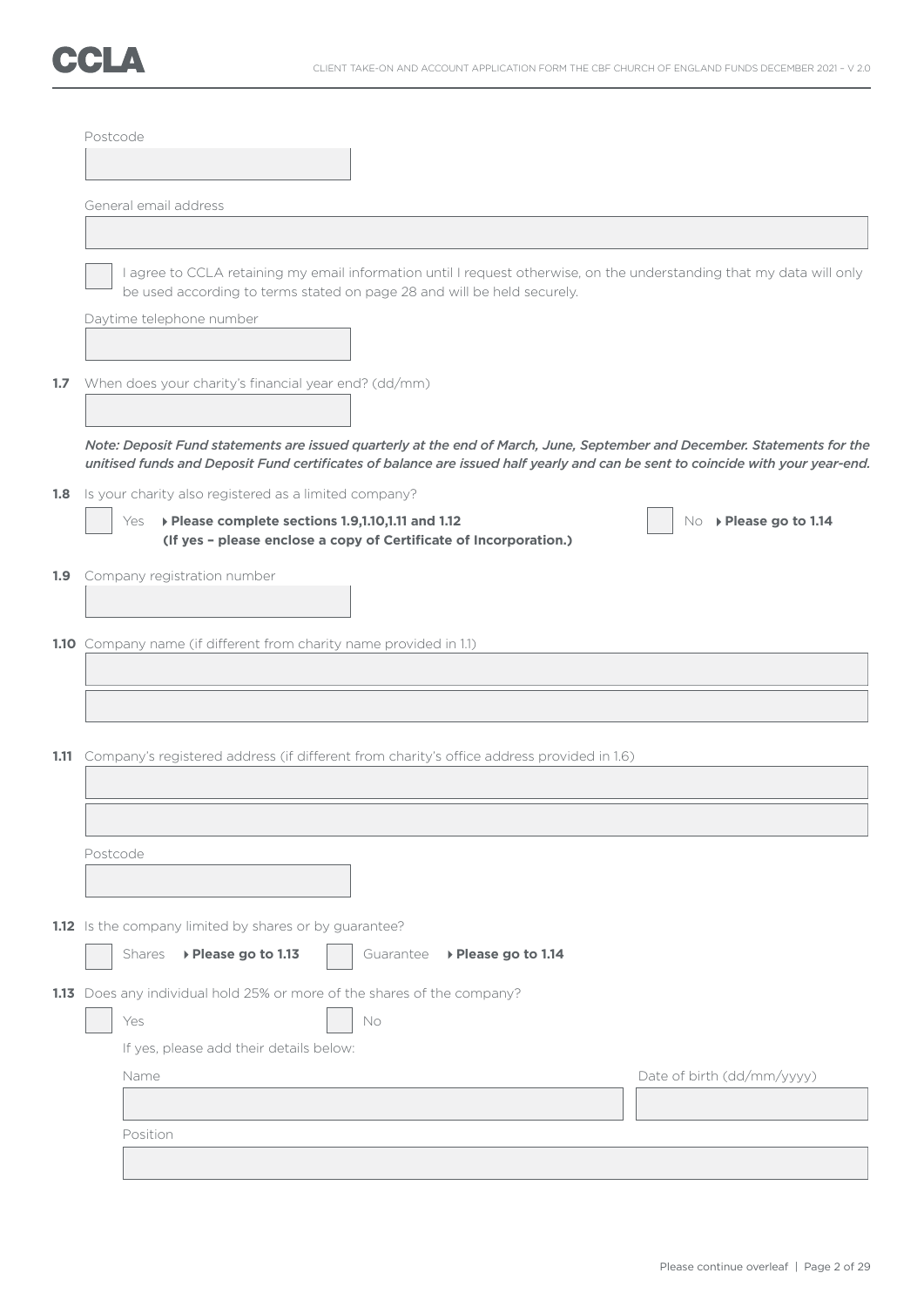

|     | Postcode |                                                                                                                               |           |                     |                                                                                                                                                                                                                                                            |
|-----|----------|-------------------------------------------------------------------------------------------------------------------------------|-----------|---------------------|------------------------------------------------------------------------------------------------------------------------------------------------------------------------------------------------------------------------------------------------------------|
|     |          |                                                                                                                               |           |                     |                                                                                                                                                                                                                                                            |
|     |          | General email address                                                                                                         |           |                     |                                                                                                                                                                                                                                                            |
|     |          |                                                                                                                               |           |                     |                                                                                                                                                                                                                                                            |
|     |          | be used according to terms stated on page 28 and will be held securely.                                                       |           |                     | I agree to CCLA retaining my email information until I request otherwise, on the understanding that my data will only                                                                                                                                      |
|     |          | Daytime telephone number                                                                                                      |           |                     |                                                                                                                                                                                                                                                            |
| 1.7 |          | When does your charity's financial year end? (dd/mm)                                                                          |           |                     |                                                                                                                                                                                                                                                            |
|     |          |                                                                                                                               |           |                     | Note: Deposit Fund statements are issued quarterly at the end of March, June, September and December. Statements for the<br>unitised funds and Deposit Fund certificates of balance are issued half yearly and can be sent to coincide with your year-end. |
| 1.8 |          | Is your charity also registered as a limited company?                                                                         |           |                     |                                                                                                                                                                                                                                                            |
|     |          | ▶ Please complete sections 1.9,1.10,1.11 and 1.12<br>Yes<br>(If yes - please enclose a copy of Certificate of Incorporation.) |           |                     | No ▶ Please go to 1.14                                                                                                                                                                                                                                     |
| 1.9 |          | Company registration number                                                                                                   |           |                     |                                                                                                                                                                                                                                                            |
|     |          | 1.10 Company name (if different from charity name provided in 1.1)                                                            |           |                     |                                                                                                                                                                                                                                                            |
|     |          |                                                                                                                               |           |                     |                                                                                                                                                                                                                                                            |
|     |          |                                                                                                                               |           |                     |                                                                                                                                                                                                                                                            |
|     |          | 1.11 Company's registered address (if different from charity's office address provided in 1.6)                                |           |                     |                                                                                                                                                                                                                                                            |
|     |          |                                                                                                                               |           |                     |                                                                                                                                                                                                                                                            |
|     |          |                                                                                                                               |           |                     |                                                                                                                                                                                                                                                            |
|     | Postcode |                                                                                                                               |           |                     |                                                                                                                                                                                                                                                            |
|     |          |                                                                                                                               |           |                     |                                                                                                                                                                                                                                                            |
|     |          | 1.12 Is the company limited by shares or by guarantee?                                                                        |           |                     |                                                                                                                                                                                                                                                            |
|     |          | ▶ Please go to 1.13<br>Shares                                                                                                 | Guarantee | ▶ Please go to 1.14 |                                                                                                                                                                                                                                                            |
|     |          | 1.13 Does any individual hold 25% or more of the shares of the company?                                                       |           |                     |                                                                                                                                                                                                                                                            |
|     |          | Yes                                                                                                                           | No        |                     |                                                                                                                                                                                                                                                            |
|     |          | If yes, please add their details below:<br>Name                                                                               |           |                     |                                                                                                                                                                                                                                                            |
|     |          |                                                                                                                               |           |                     | Date of birth (dd/mm/yyyy)                                                                                                                                                                                                                                 |
|     |          | Position                                                                                                                      |           |                     |                                                                                                                                                                                                                                                            |
|     |          |                                                                                                                               |           |                     |                                                                                                                                                                                                                                                            |
|     |          |                                                                                                                               |           |                     |                                                                                                                                                                                                                                                            |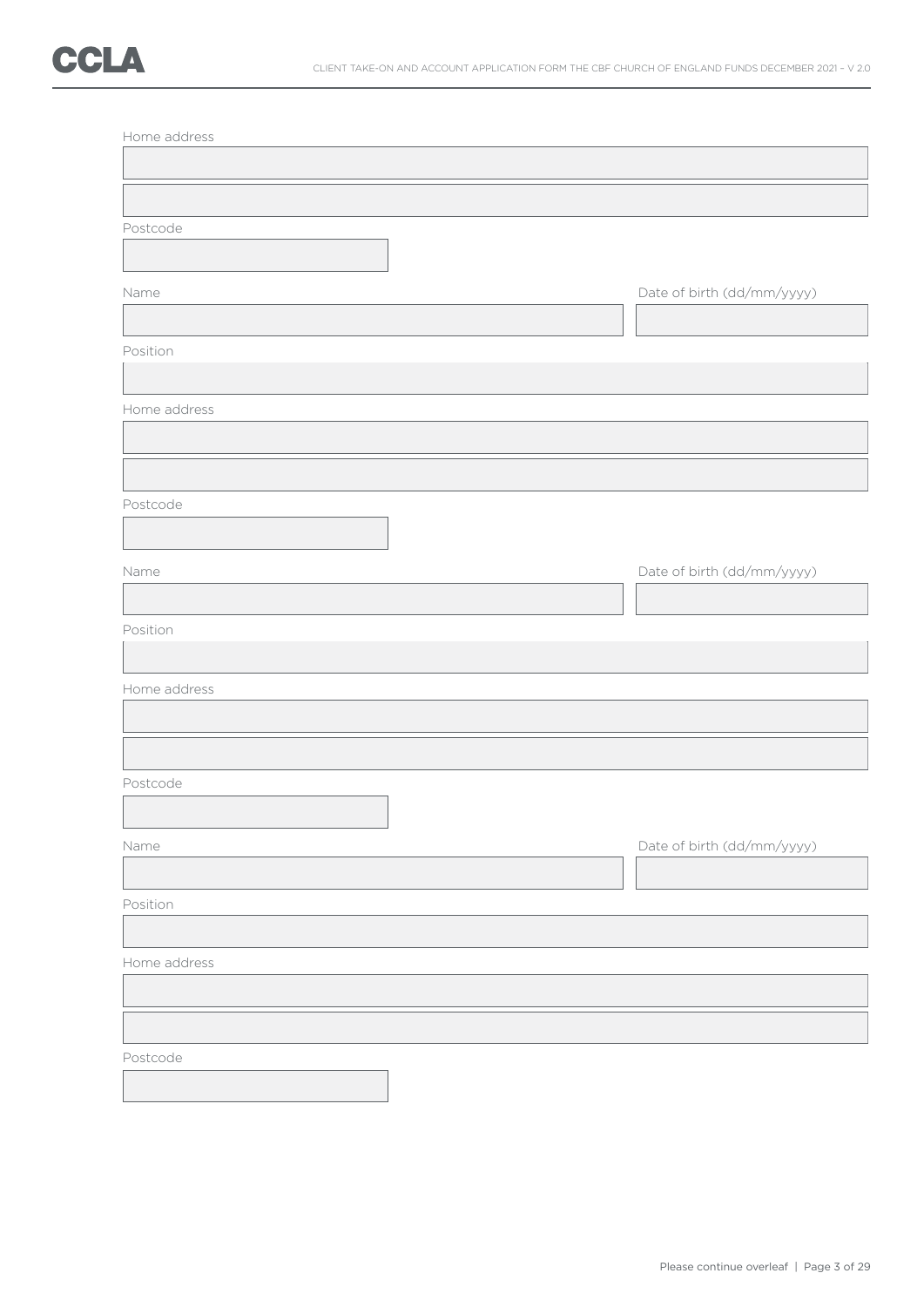| Postcode     |                            |
|--------------|----------------------------|
|              |                            |
|              |                            |
| Name         | Date of birth (dd/mm/yyyy) |
|              |                            |
| Position     |                            |
|              |                            |
| Home address |                            |
|              |                            |
|              |                            |
| Postcode     |                            |
|              |                            |
| Name         | Date of birth (dd/mm/yyyy) |
|              |                            |
| Position     |                            |
|              |                            |
| Home address |                            |
|              |                            |
|              |                            |
| Postcode     |                            |
|              |                            |
| Name         | Date of birth (dd/mm/yyyy) |
|              |                            |
| Position     |                            |
|              |                            |
| Home address |                            |
|              |                            |
|              |                            |
|              |                            |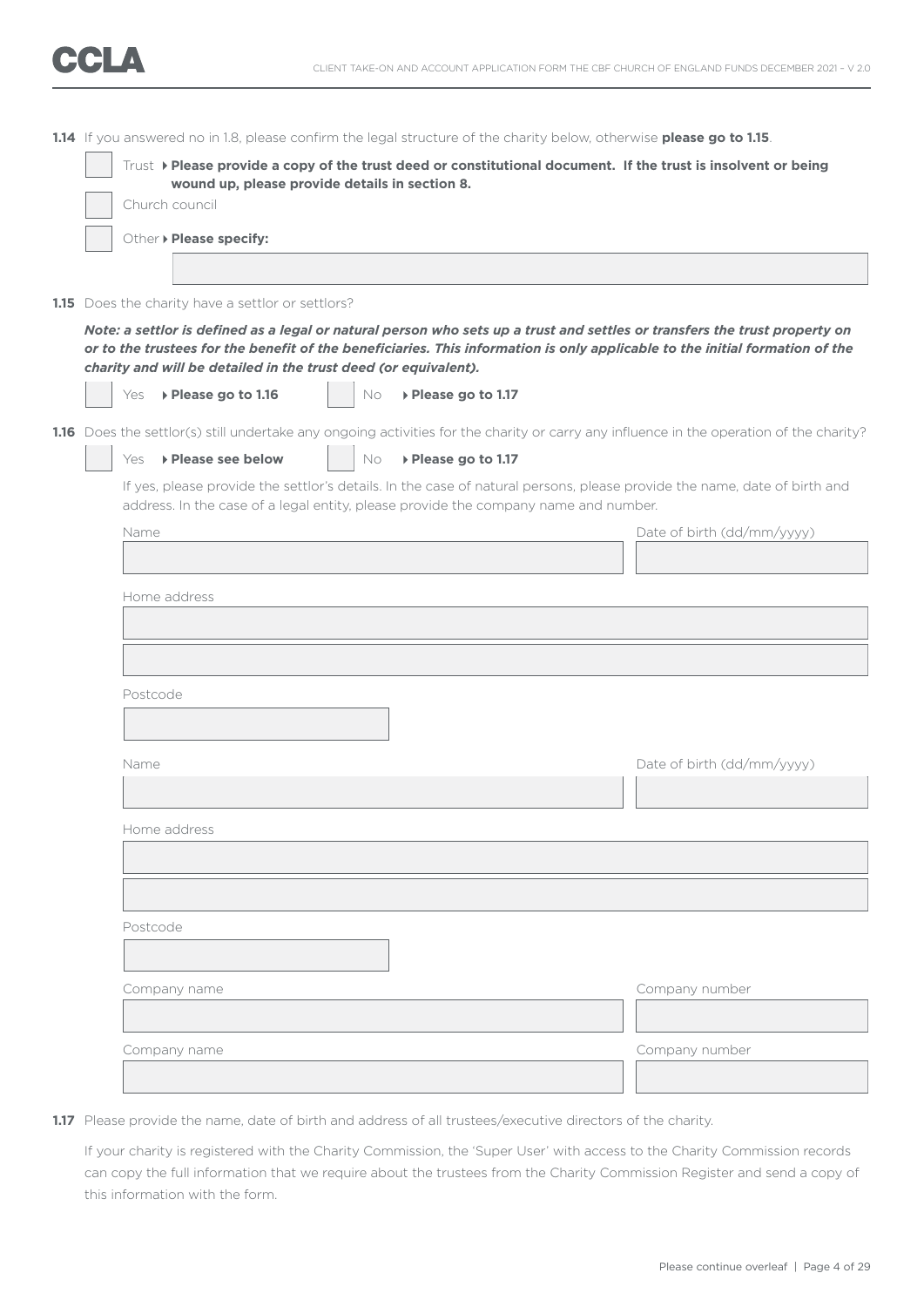**1.14** If you answered no in 1.8, please confirm the legal structure of the charity below, otherwise **please go to 1.15**. Trust **Please provide a copy of the trust deed or constitutional document. If the trust is insolvent or being wound up, please provide details in section 8.** Church council Other **Please specify: 1.15** Does the charity have a settlor or settlors? *Note: a settlor is defined as a legal or natural person who sets up a trust and settles or transfers the trust property on or to the trustees for the benefit of the beneficiaries. This information is only applicable to the initial formation of the charity and will be detailed in the trust deed (or equivalent).* Yes **Please go to 1.16** No **Please go to 1.17** 1.16 Does the settlor(s) still undertake any ongoing activities for the charity or carry any influence in the operation of the charity? Yes **Please see below**  $\vert$  No **Please go to 1.17**  If yes, please provide the settlor's details. In the case of natural persons, please provide the name, date of birth and address. In the case of a legal entity, please provide the company name and number. Name **Name** Date of birth (dd/mm/yyyy) Home address Postcode Name Date of birth (dd/mm/yyyy) Home address Postcode Company name Company number Company name Company number

**1.17** Please provide the name, date of birth and address of all trustees/executive directors of the charity.

 If your charity is registered with the Charity Commission, the 'Super User' with access to the Charity Commission records can copy the full information that we require about the trustees from the Charity Commission Register and send a copy of this information with the form.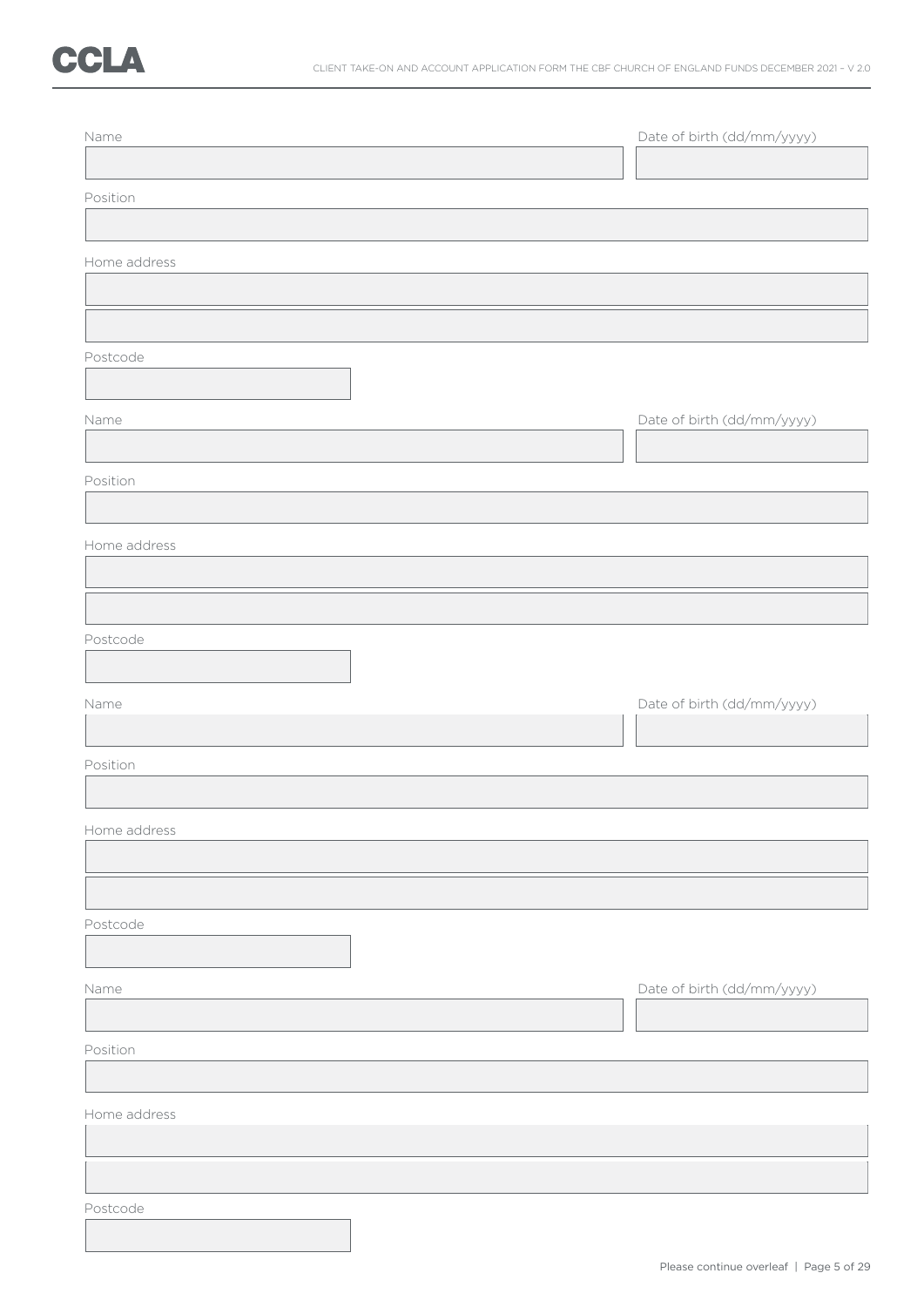# CCLA

| Name         | Date of birth (dd/mm/yyyy) |
|--------------|----------------------------|
| Position     |                            |
|              |                            |
| Home address |                            |
|              |                            |
| Postcode     |                            |
|              |                            |
| Name         | Date of birth (dd/mm/yyyy) |
| Position     |                            |
|              |                            |
| Home address |                            |
|              |                            |
| Postcode     |                            |
|              |                            |
| Name         | Date of birth (dd/mm/yyyy) |
| Position     |                            |
|              |                            |
| Home address |                            |
|              |                            |
| Postcode     |                            |
|              |                            |
| Name         | Date of birth (dd/mm/yyyy) |
|              |                            |
| Position     |                            |
| Home address |                            |
|              |                            |
|              |                            |
| Postcode     |                            |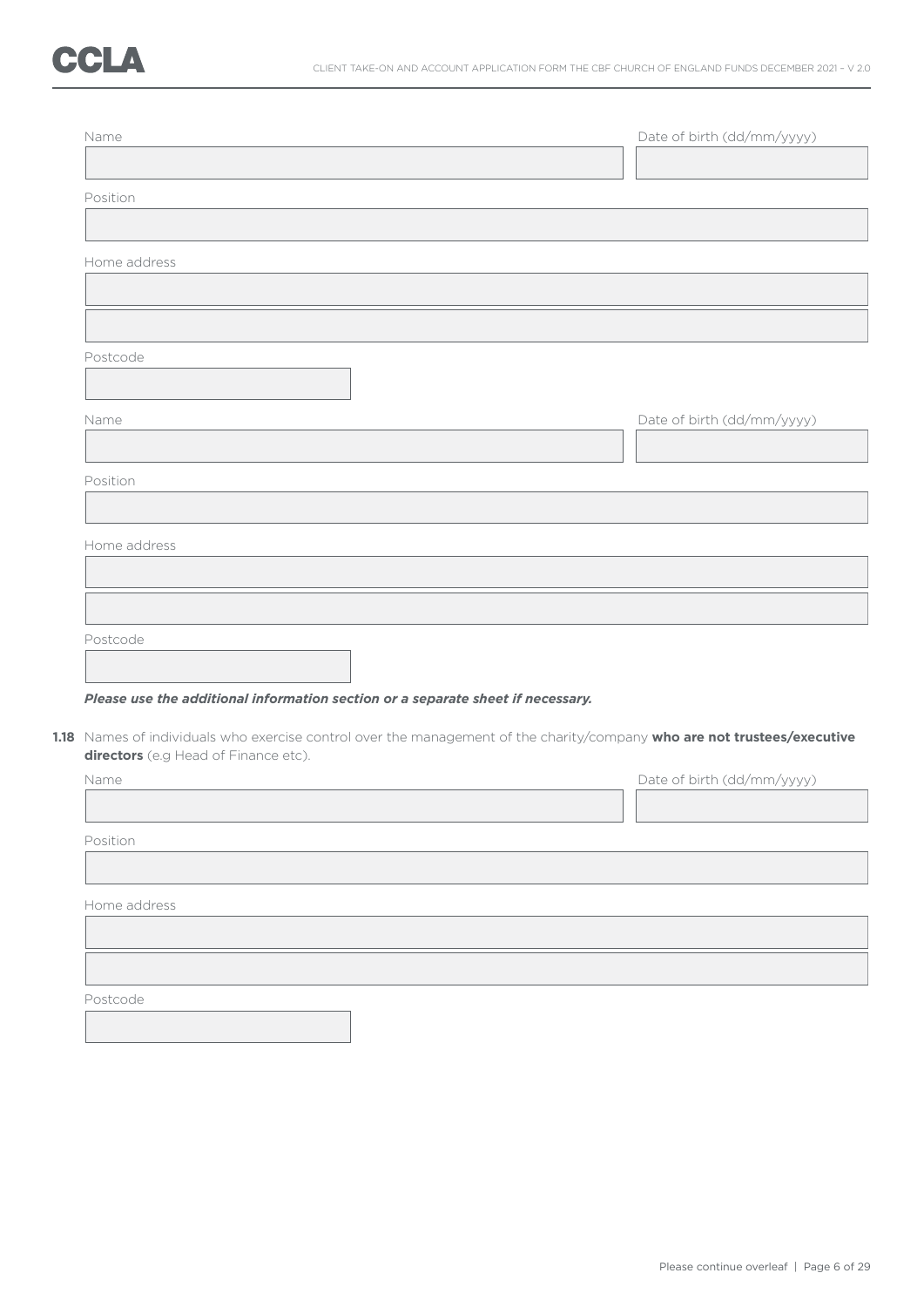| Date of birth (dd/mm/yyyy)                                                      |
|---------------------------------------------------------------------------------|
|                                                                                 |
|                                                                                 |
|                                                                                 |
|                                                                                 |
|                                                                                 |
|                                                                                 |
|                                                                                 |
|                                                                                 |
| Please use the additional information section or a separate sheet if necessary. |
|                                                                                 |

**directors** (e.g Head of Finance etc).

| Name         | Date of birth (dd/mm/yyyy) |
|--------------|----------------------------|
|              |                            |
| Position     |                            |
|              |                            |
| Home address |                            |
|              |                            |
|              |                            |
| Postcode     |                            |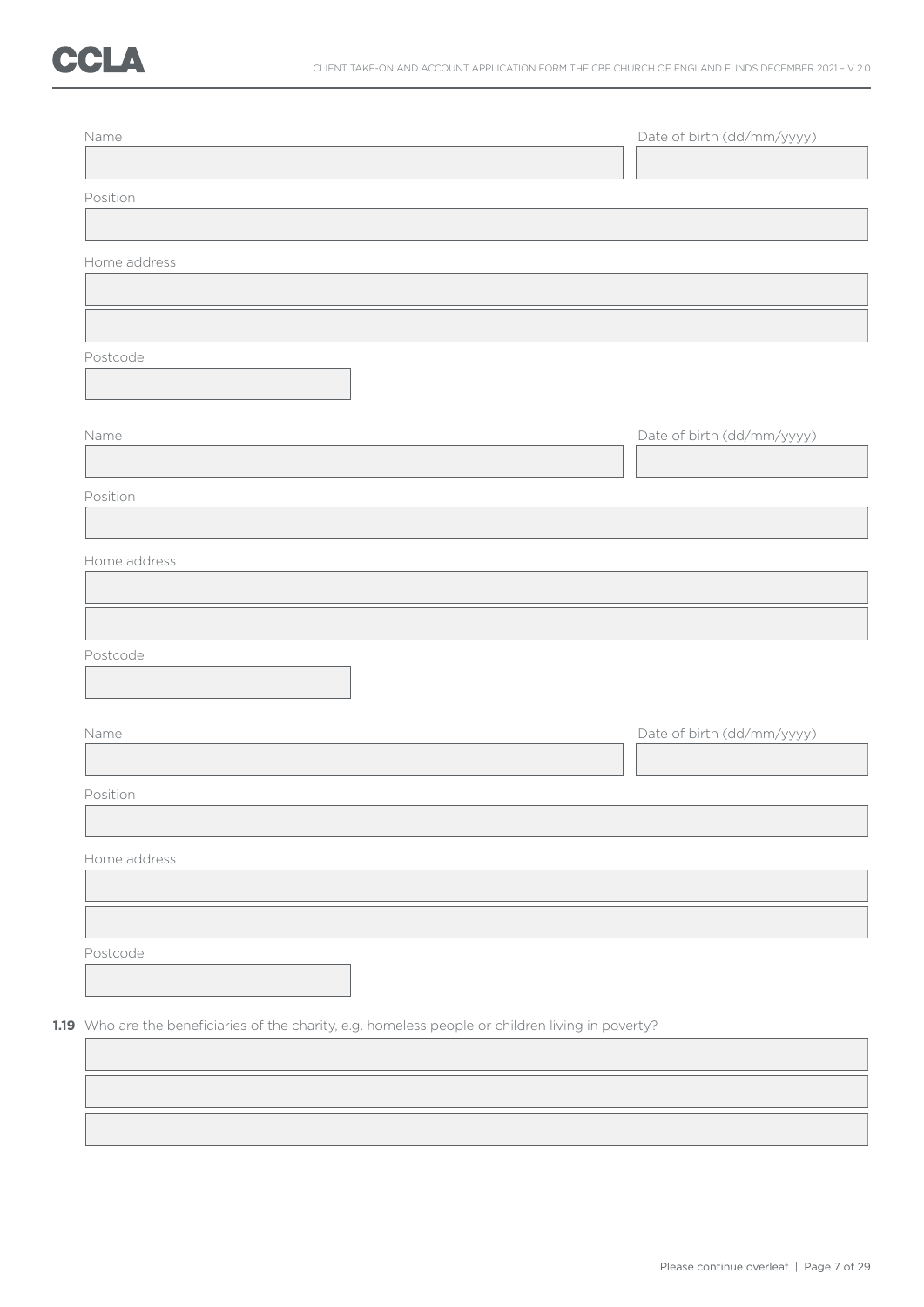| Position<br>Home address<br>Postcode<br>Name<br>Position<br>Home address<br>Postcode<br>Name<br>Position<br>Home address |                            |
|--------------------------------------------------------------------------------------------------------------------------|----------------------------|
|                                                                                                                          |                            |
|                                                                                                                          |                            |
|                                                                                                                          |                            |
|                                                                                                                          |                            |
|                                                                                                                          |                            |
|                                                                                                                          |                            |
|                                                                                                                          |                            |
|                                                                                                                          |                            |
|                                                                                                                          |                            |
|                                                                                                                          |                            |
|                                                                                                                          | Date of birth (dd/mm/yyyy) |
|                                                                                                                          |                            |
|                                                                                                                          |                            |
|                                                                                                                          |                            |
|                                                                                                                          |                            |
|                                                                                                                          |                            |
|                                                                                                                          |                            |
|                                                                                                                          |                            |
|                                                                                                                          |                            |
|                                                                                                                          |                            |
|                                                                                                                          |                            |
|                                                                                                                          | Date of birth (dd/mm/yyyy) |
|                                                                                                                          |                            |
|                                                                                                                          |                            |
|                                                                                                                          |                            |
|                                                                                                                          |                            |
|                                                                                                                          |                            |
|                                                                                                                          |                            |
|                                                                                                                          |                            |
| Postcode                                                                                                                 |                            |
|                                                                                                                          |                            |
|                                                                                                                          |                            |
| 1.19 Who are the beneficiaries of the charity, e.g. homeless people or children living in poverty?                       |                            |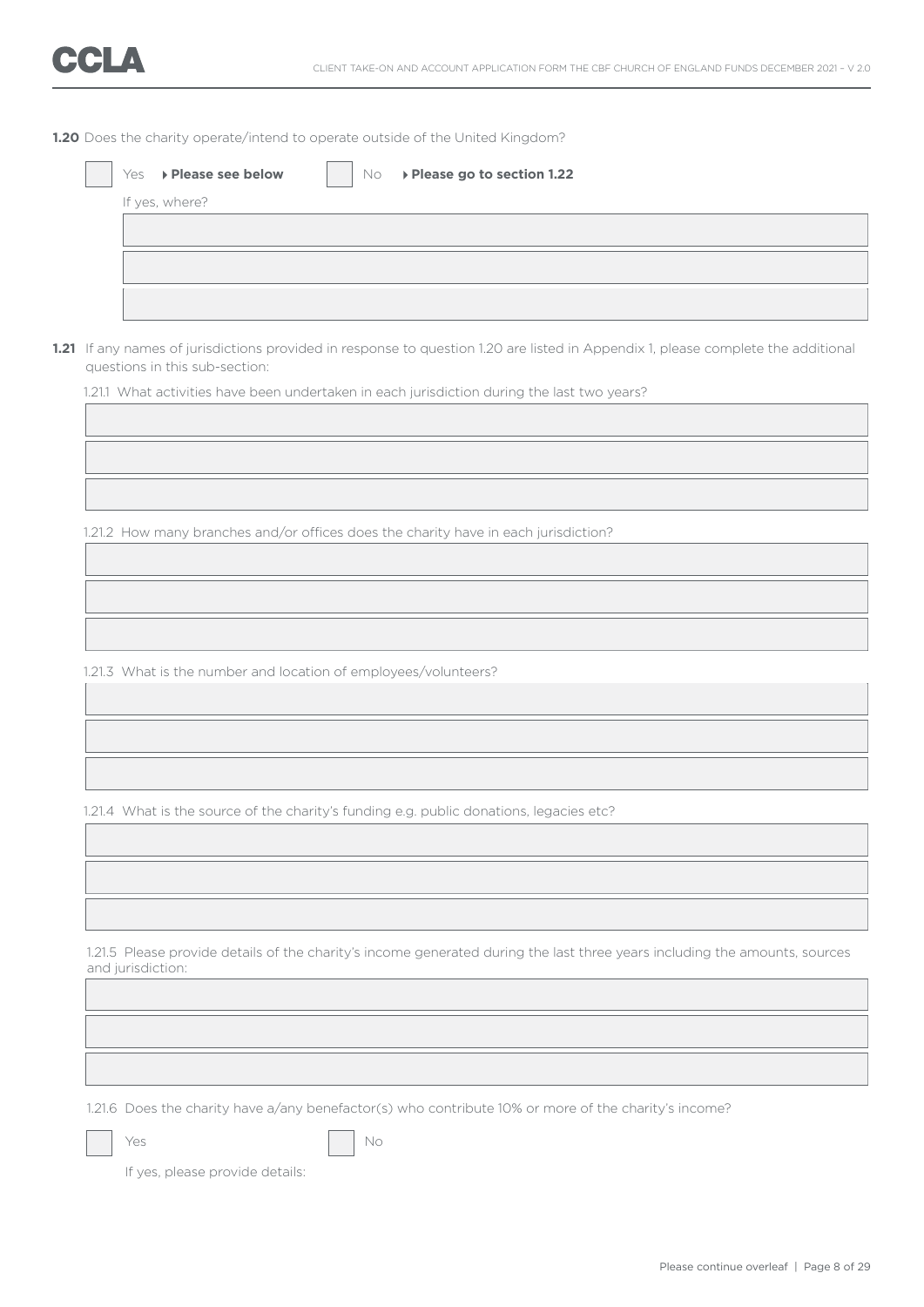**1.20** Does the charity operate/intend to operate outside of the United Kingdom?

|  | If yes, where?                                                                                                                                                      |
|--|---------------------------------------------------------------------------------------------------------------------------------------------------------------------|
|  |                                                                                                                                                                     |
|  |                                                                                                                                                                     |
|  | 1.21 If any names of jurisdictions provided in response to question 1.20 are listed in Appendix 1, please complete the additional<br>questions in this sub-section: |
|  | 1.21.1 What activities have been undertaken in each jurisdiction during the last two years?                                                                         |
|  |                                                                                                                                                                     |
|  |                                                                                                                                                                     |
|  |                                                                                                                                                                     |
|  | 1.21.2 How many branches and/or offices does the charity have in each jurisdiction?                                                                                 |
|  |                                                                                                                                                                     |
|  |                                                                                                                                                                     |
|  |                                                                                                                                                                     |
|  |                                                                                                                                                                     |
|  | 1.21.3 What is the number and location of employees/volunteers?                                                                                                     |
|  |                                                                                                                                                                     |
|  |                                                                                                                                                                     |
|  |                                                                                                                                                                     |
|  | 1.21.4 What is the source of the charity's funding e.g. public donations, legacies etc?                                                                             |
|  |                                                                                                                                                                     |
|  |                                                                                                                                                                     |
|  |                                                                                                                                                                     |
|  |                                                                                                                                                                     |
|  | 1.21.5 Please provide details of the charity's income generated during the last three years including the amounts, sources<br>and jurisdiction:                     |
|  |                                                                                                                                                                     |
|  |                                                                                                                                                                     |
|  |                                                                                                                                                                     |
|  |                                                                                                                                                                     |
|  | 1.21.6 Does the charity have a/any benefactor(s) who contribute 10% or more of the charity's income?                                                                |
|  | Yes<br>No                                                                                                                                                           |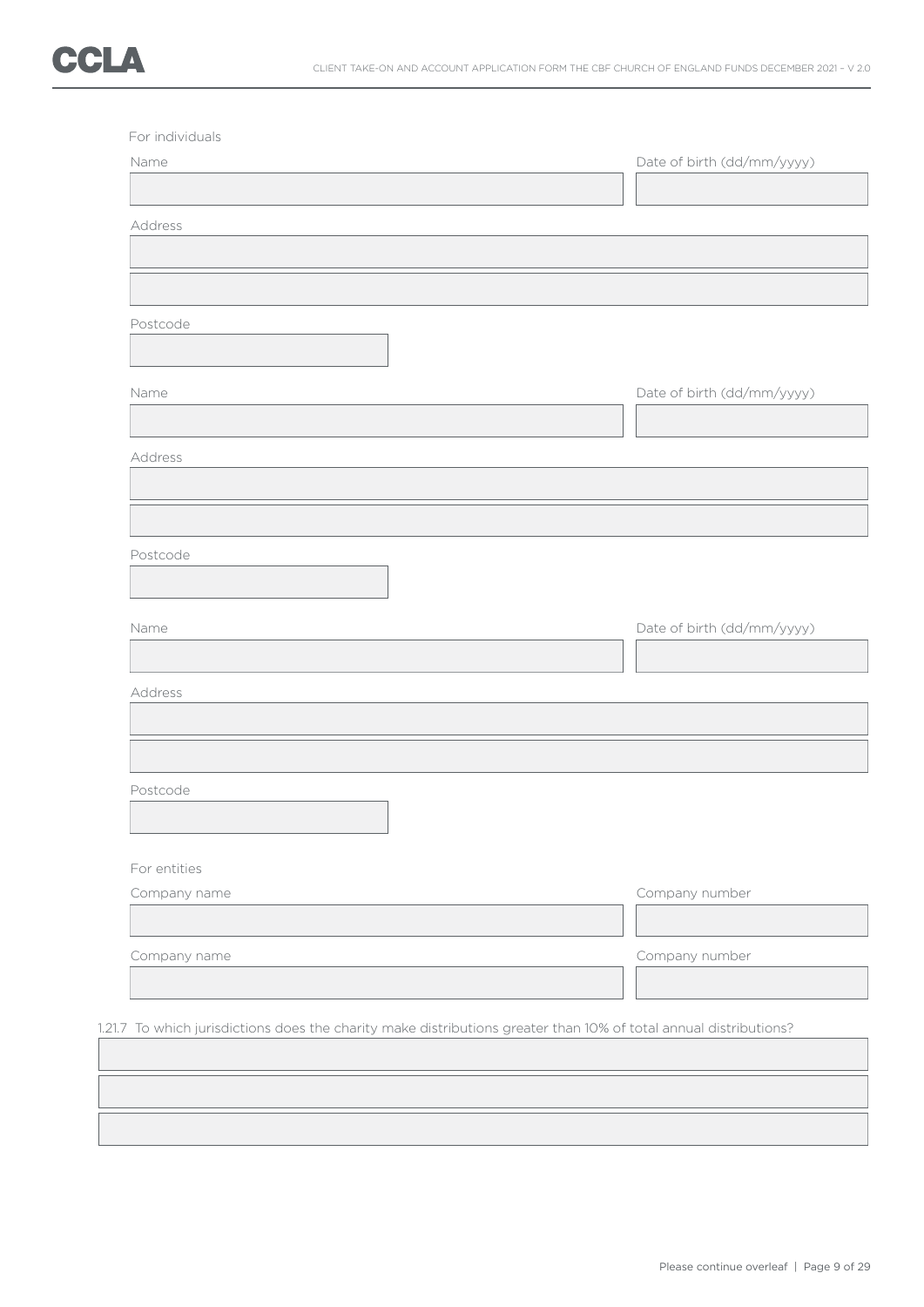

| Name         | Date of birth (dd/mm/yyyy) |
|--------------|----------------------------|
|              |                            |
| Address      |                            |
|              |                            |
|              |                            |
| Postcode     |                            |
|              |                            |
|              |                            |
| Name         | Date of birth (dd/mm/yyyy) |
|              |                            |
| Address      |                            |
|              |                            |
|              |                            |
| Postcode     |                            |
|              |                            |
|              |                            |
| Name         | Date of birth (dd/mm/yyyy) |
|              |                            |
| Address      |                            |
|              |                            |
|              |                            |
|              |                            |
| Postcode     |                            |
|              |                            |
| For entities |                            |
| Company name | Company number             |
|              |                            |
|              |                            |
|              |                            |
| Company name | Company number             |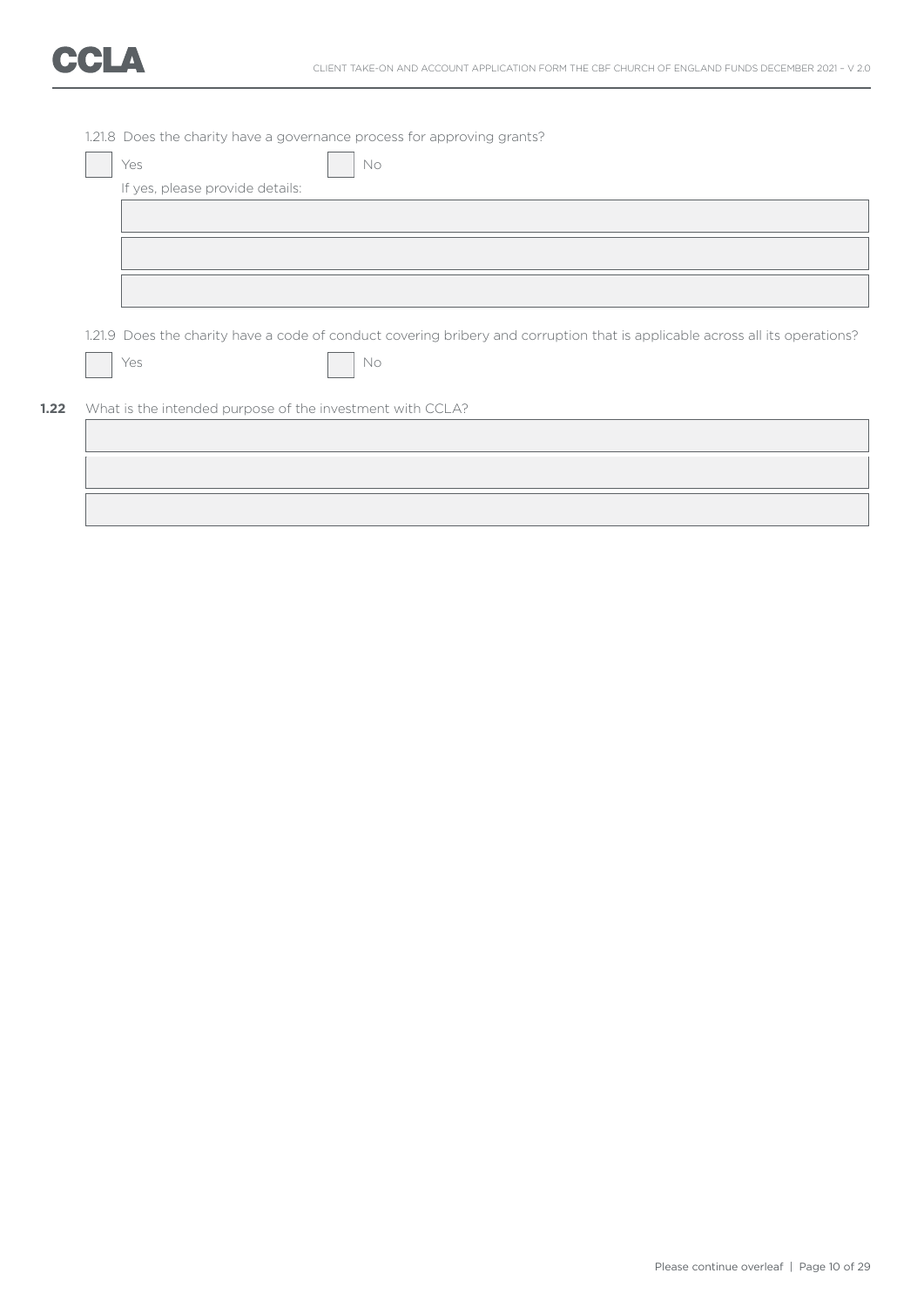

|                                 | 1.21.8 Does the charity have a governance process for approving grants?                                                      |
|---------------------------------|------------------------------------------------------------------------------------------------------------------------------|
| Yes                             | No                                                                                                                           |
| If yes, please provide details: |                                                                                                                              |
|                                 |                                                                                                                              |
|                                 |                                                                                                                              |
|                                 |                                                                                                                              |
|                                 |                                                                                                                              |
|                                 |                                                                                                                              |
|                                 |                                                                                                                              |
|                                 | 1.21.9 Does the charity have a code of conduct covering bribery and corruption that is applicable across all its operations? |
| Yes                             | No                                                                                                                           |
|                                 |                                                                                                                              |
|                                 |                                                                                                                              |
|                                 |                                                                                                                              |
|                                 | What is the intended purpose of the investment with CCLA?                                                                    |
|                                 |                                                                                                                              |
|                                 |                                                                                                                              |
|                                 |                                                                                                                              |
|                                 |                                                                                                                              |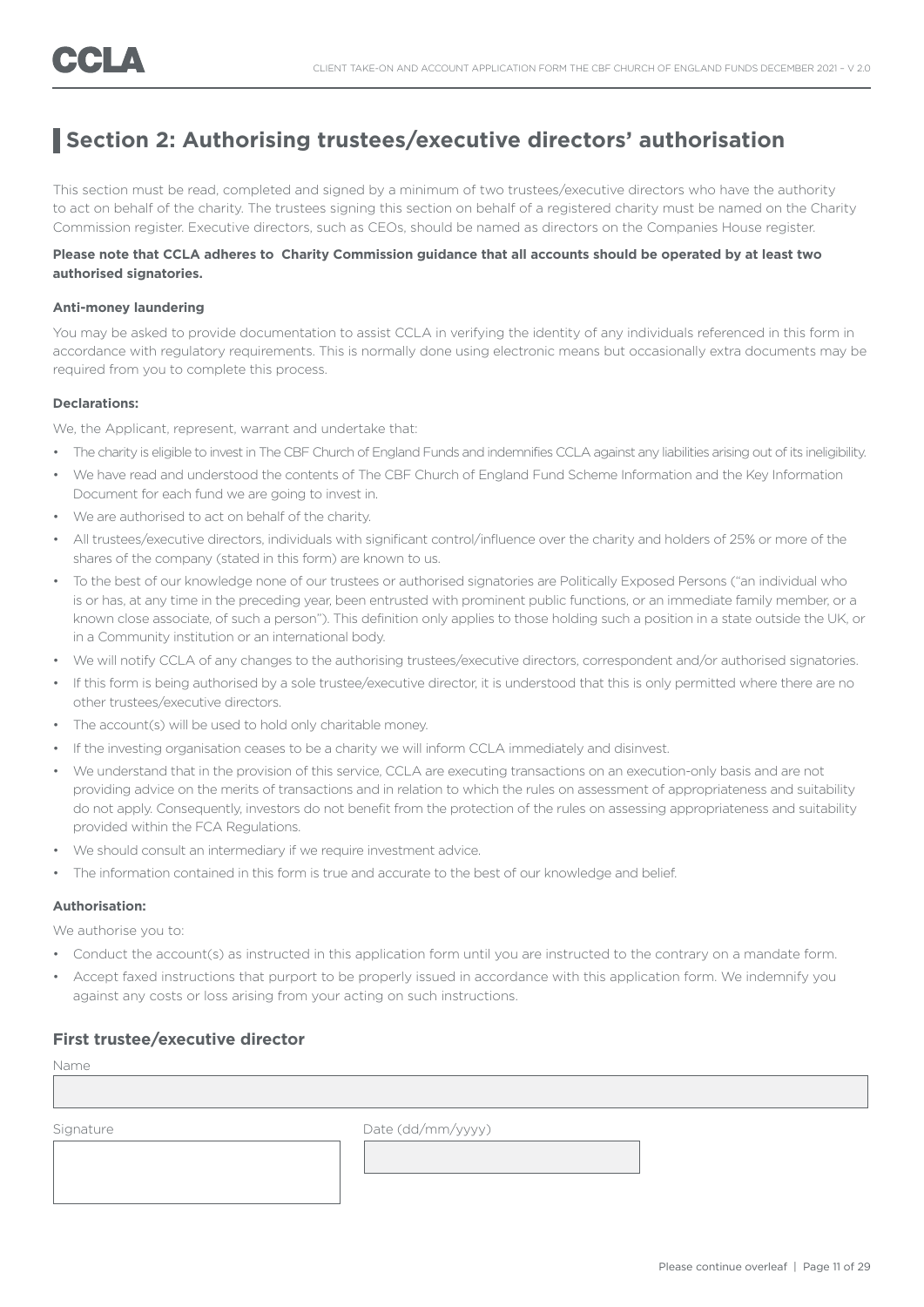## **Section 2: Authorising trustees/executive directors' authorisation**

This section must be read, completed and signed by a minimum of two trustees/executive directors who have the authority to act on behalf of the charity. The trustees signing this section on behalf of a registered charity must be named on the Charity Commission register. Executive directors, such as CEOs, should be named as directors on the Companies House register.

### **Please note that CCLA adheres to Charity Commission guidance that all accounts should be operated by at least two authorised signatories.**

#### **Anti-money laundering**

You may be asked to provide documentation to assist CCLA in verifying the identity of any individuals referenced in this form in accordance with regulatory requirements. This is normally done using electronic means but occasionally extra documents may be required from you to complete this process.

### **Declarations:**

We, the Applicant, represent, warrant and undertake that:

- The charity is eligible to invest in The CBF Church of England Funds and indemnifies CCLA against any liabilities arising out of its ineligibility.
- We have read and understood the contents of The CBF Church of England Fund Scheme Information and the Key Information Document for each fund we are going to invest in.
- We are authorised to act on behalf of the charity.
- All trustees/executive directors, individuals with significant control/influence over the charity and holders of 25% or more of the shares of the company (stated in this form) are known to us.
- To the best of our knowledge none of our trustees or authorised signatories are Politically Exposed Persons ("an individual who is or has, at any time in the preceding year, been entrusted with prominent public functions, or an immediate family member, or a known close associate, of such a person"). This definition only applies to those holding such a position in a state outside the UK, or in a Community institution or an international body.
- We will notify CCLA of any changes to the authorising trustees/executive directors, correspondent and/or authorised signatories.
- If this form is being authorised by a sole trustee/executive director, it is understood that this is only permitted where there are no other trustees/executive directors.
- The account(s) will be used to hold only charitable money.
- If the investing organisation ceases to be a charity we will inform CCLA immediately and disinvest.
- We understand that in the provision of this service, CCLA are executing transactions on an execution-only basis and are not providing advice on the merits of transactions and in relation to which the rules on assessment of appropriateness and suitability do not apply. Consequently, investors do not benefit from the protection of the rules on assessing appropriateness and suitability provided within the FCA Regulations.
- We should consult an intermediary if we require investment advice.
- The information contained in this form is true and accurate to the best of our knowledge and belief.

### **Authorisation:**

We authorise you to:

- Conduct the account(s) as instructed in this application form until you are instructed to the contrary on a mandate form.
- Accept faxed instructions that purport to be properly issued in accordance with this application form. We indemnify you against any costs or loss arising from your acting on such instructions.

### **First trustee/executive director**

Name

Signature Date (dd/mm/yyyy)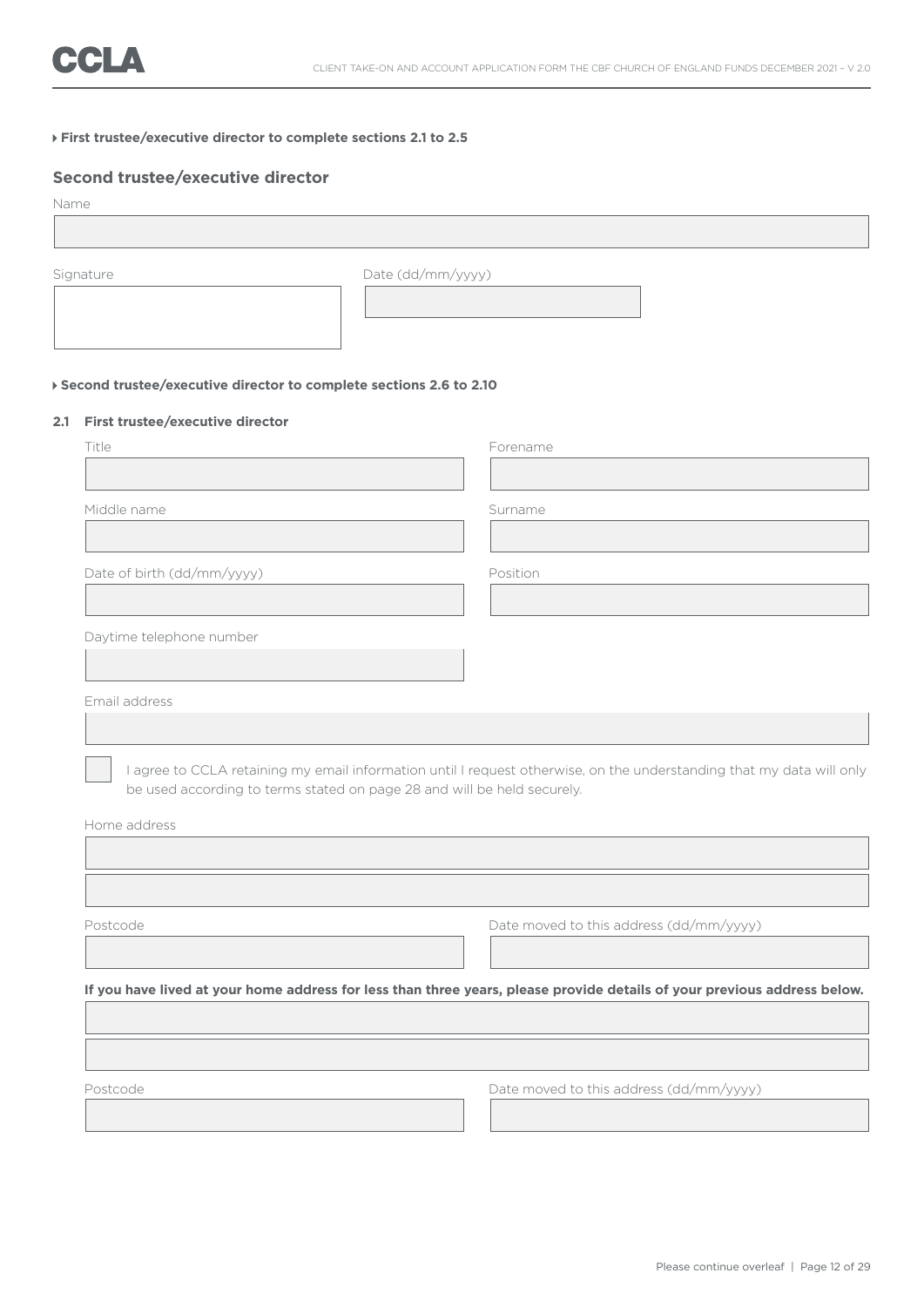### **First trustee/executive director to complete sections 2.1 to 2.5**

### **Second trustee/executive director**

| Name      |                   |  |
|-----------|-------------------|--|
|           |                   |  |
| Signature | Date (dd/mm/yyyy) |  |
|           |                   |  |

### **Second trustee/executive director to complete sections 2.6 to 2.10**

### **2.1 First trustee/executive director**

| Title                                                                   | Forename                                                                                                                                                                                                                                          |
|-------------------------------------------------------------------------|---------------------------------------------------------------------------------------------------------------------------------------------------------------------------------------------------------------------------------------------------|
|                                                                         |                                                                                                                                                                                                                                                   |
| Middle name                                                             | Surname                                                                                                                                                                                                                                           |
|                                                                         |                                                                                                                                                                                                                                                   |
| Date of birth (dd/mm/yyyy)                                              | Position                                                                                                                                                                                                                                          |
|                                                                         |                                                                                                                                                                                                                                                   |
| Daytime telephone number                                                |                                                                                                                                                                                                                                                   |
|                                                                         |                                                                                                                                                                                                                                                   |
| Email address                                                           |                                                                                                                                                                                                                                                   |
|                                                                         |                                                                                                                                                                                                                                                   |
| be used according to terms stated on page 28 and will be held securely. |                                                                                                                                                                                                                                                   |
|                                                                         |                                                                                                                                                                                                                                                   |
|                                                                         |                                                                                                                                                                                                                                                   |
|                                                                         | Date moved to this address (dd/mm/yyyy)                                                                                                                                                                                                           |
|                                                                         |                                                                                                                                                                                                                                                   |
|                                                                         |                                                                                                                                                                                                                                                   |
|                                                                         |                                                                                                                                                                                                                                                   |
| Home address<br>Postcode                                                | I agree to CCLA retaining my email information until I request otherwise, on the understanding that my data will only<br>If you have lived at your home address for less than three years, please provide details of your previous address below. |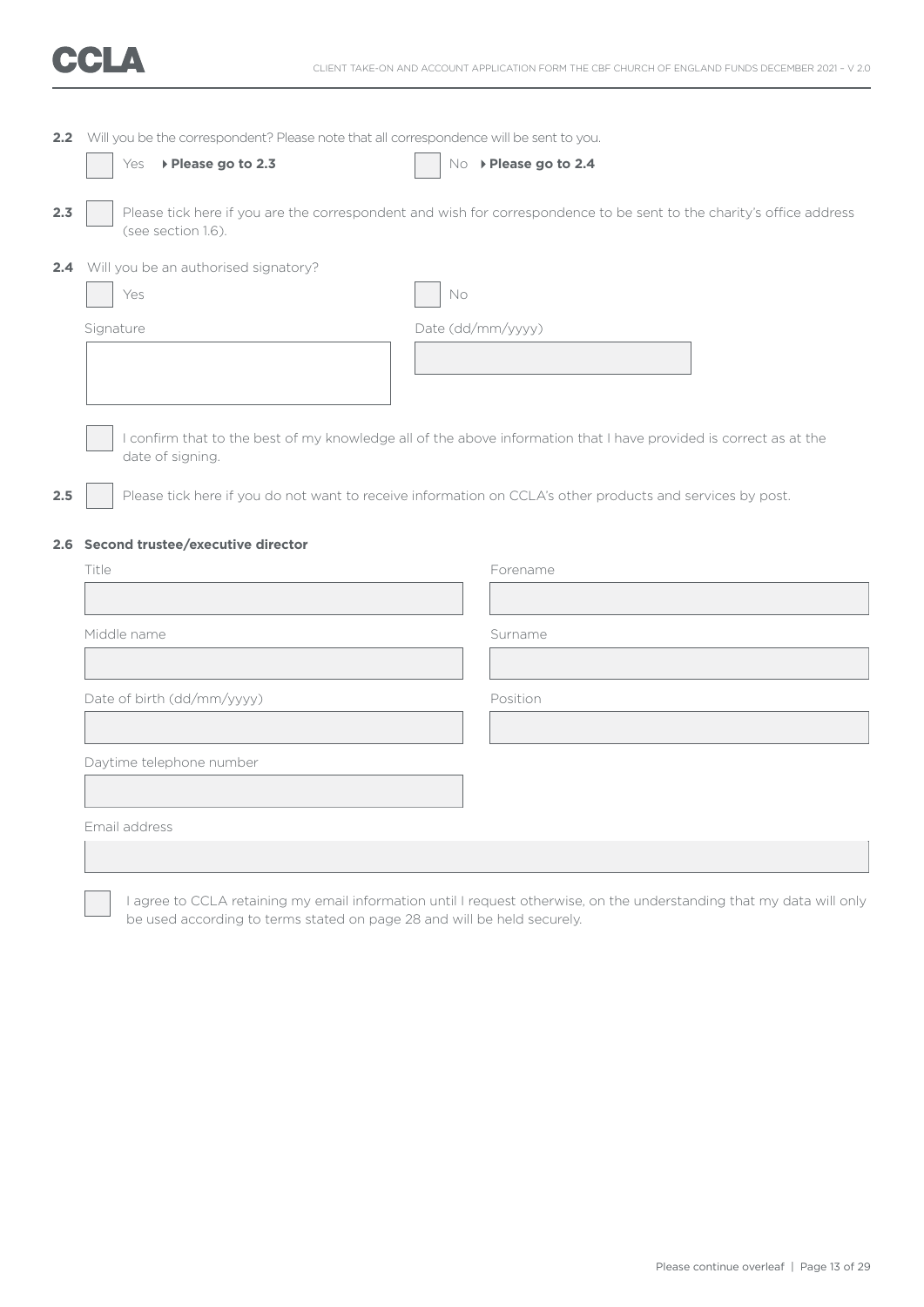

|     | 2.2 Will you be the correspondent? Please note that all correspondence will be sent to you. |                                                                                                                      |  |  |
|-----|---------------------------------------------------------------------------------------------|----------------------------------------------------------------------------------------------------------------------|--|--|
|     | ▶ Please go to 2.3<br>Yes                                                                   | No > Please go to 2.4                                                                                                |  |  |
|     |                                                                                             |                                                                                                                      |  |  |
| 2.3 | (see section 1.6).                                                                          | Please tick here if you are the correspondent and wish for correspondence to be sent to the charity's office address |  |  |
|     | 2.4 Will you be an authorised signatory?                                                    |                                                                                                                      |  |  |
|     | Yes                                                                                         | No                                                                                                                   |  |  |
|     | Signature                                                                                   | Date (dd/mm/yyyy)                                                                                                    |  |  |
|     |                                                                                             |                                                                                                                      |  |  |
|     |                                                                                             |                                                                                                                      |  |  |
|     |                                                                                             |                                                                                                                      |  |  |
|     | date of signing.                                                                            | I confirm that to the best of my knowledge all of the above information that I have provided is correct as at the    |  |  |
|     |                                                                                             |                                                                                                                      |  |  |
| 2.5 |                                                                                             | Please tick here if you do not want to receive information on CCLA's other products and services by post.            |  |  |
|     | 2.6 Second trustee/executive director                                                       |                                                                                                                      |  |  |
|     | Title                                                                                       | Forename                                                                                                             |  |  |
|     |                                                                                             |                                                                                                                      |  |  |
|     | Middle name                                                                                 | Surname                                                                                                              |  |  |
|     |                                                                                             |                                                                                                                      |  |  |
|     |                                                                                             |                                                                                                                      |  |  |
|     | Date of birth (dd/mm/yyyy)                                                                  | Position                                                                                                             |  |  |
|     |                                                                                             |                                                                                                                      |  |  |
|     | Daytime telephone number                                                                    |                                                                                                                      |  |  |
|     |                                                                                             |                                                                                                                      |  |  |
|     | Email address                                                                               |                                                                                                                      |  |  |
|     |                                                                                             |                                                                                                                      |  |  |

 I agree to CCLA retaining my email information until I request otherwise, on the understanding that my data will only be used according to terms stated on page 28 and will be held securely.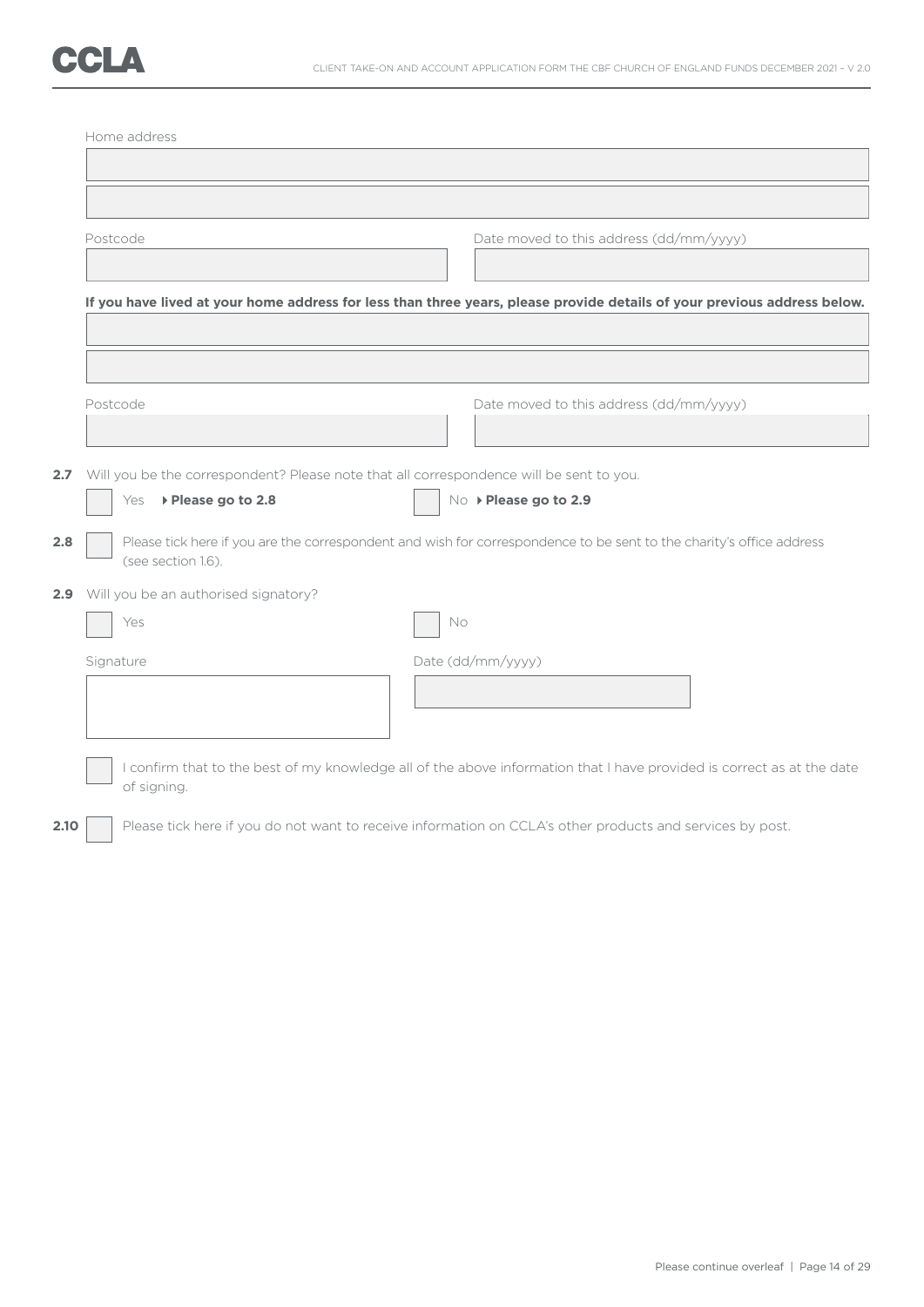|     | Postcode                                                                                    | Date moved to this address (dd/mm/yyyy)                                                                                  |
|-----|---------------------------------------------------------------------------------------------|--------------------------------------------------------------------------------------------------------------------------|
|     |                                                                                             | If you have lived at your home address for less than three years, please provide details of your previous address below. |
|     |                                                                                             |                                                                                                                          |
|     | Postcode                                                                                    | Date moved to this address (dd/mm/yyyy)                                                                                  |
|     | 2.7 Will you be the correspondent? Please note that all correspondence will be sent to you. | No > Please go to 2.9                                                                                                    |
|     | ▶ Please go to 2.8<br>Yes                                                                   |                                                                                                                          |
| 2.8 | (see section 1.6).                                                                          | Please tick here if you are the correspondent and wish for correspondence to be sent to the charity's office address     |
|     | 2.9 Will you be an authorised signatory?                                                    |                                                                                                                          |
|     | Yes                                                                                         | No                                                                                                                       |
|     | Signature                                                                                   | Date (dd/mm/yyyy)                                                                                                        |
|     |                                                                                             |                                                                                                                          |
|     | of signing.                                                                                 | I confirm that to the best of my knowledge all of the above information that I have provided is correct as at the date   |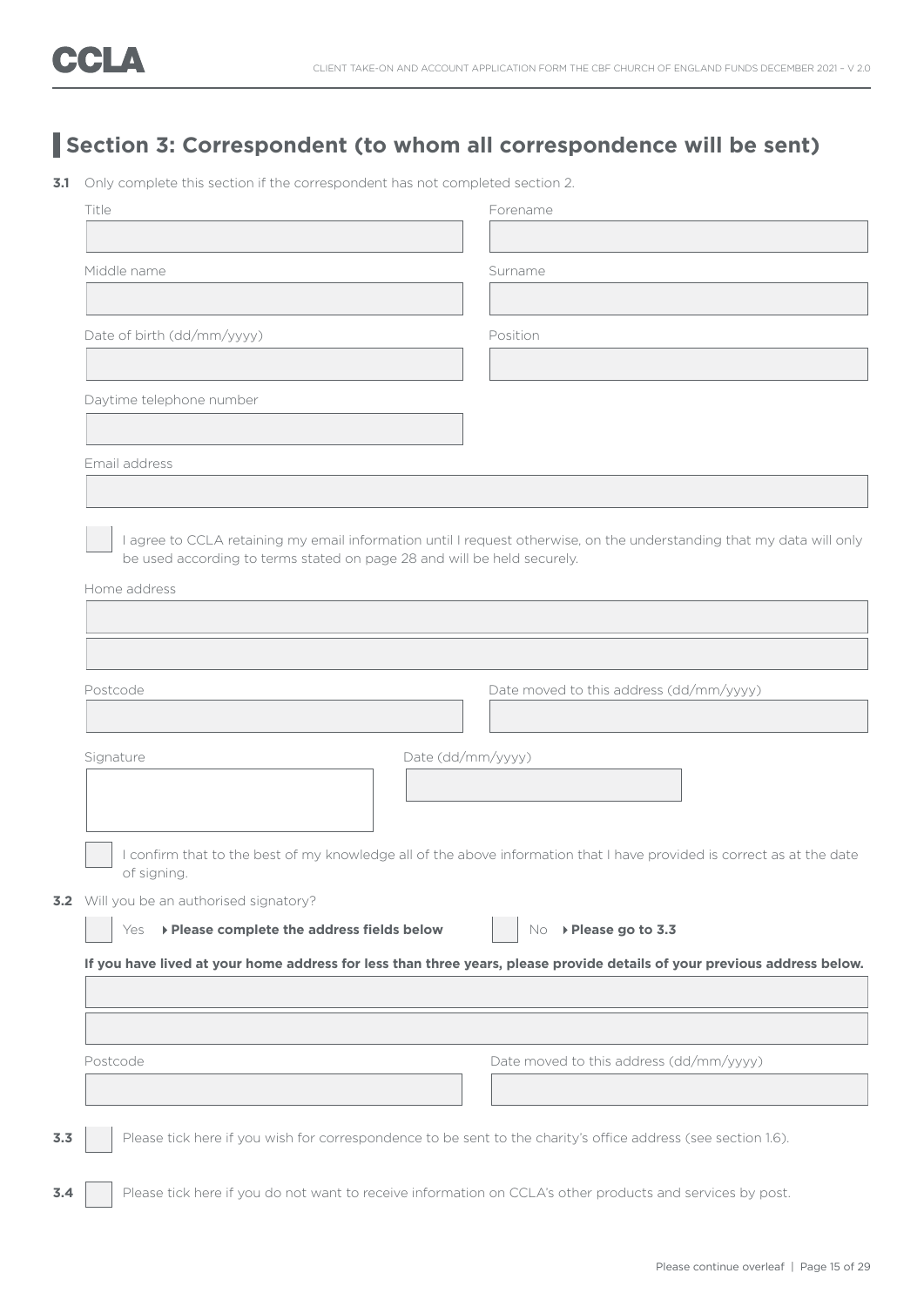# **Section 3: Correspondent (to whom all correspondence will be sent)**

**3.1** Only complete this section if the correspondent has not completed section 2.

| Title                                                                                                                     | Forename                                                                                                               |
|---------------------------------------------------------------------------------------------------------------------------|------------------------------------------------------------------------------------------------------------------------|
| Middle name                                                                                                               | Surname                                                                                                                |
|                                                                                                                           |                                                                                                                        |
| Date of birth (dd/mm/yyyy)                                                                                                | Position                                                                                                               |
| Daytime telephone number                                                                                                  |                                                                                                                        |
| Email address                                                                                                             |                                                                                                                        |
| be used according to terms stated on page 28 and will be held securely.<br>Home address                                   | I agree to CCLA retaining my email information until I request otherwise, on the understanding that my data will only  |
| Postcode                                                                                                                  | Date moved to this address (dd/mm/yyyy)                                                                                |
| Date (dd/mm/yyyy)<br>Signature                                                                                            |                                                                                                                        |
| of signing.                                                                                                               | I confirm that to the best of my knowledge all of the above information that I have provided is correct as at the date |
| 3.2 Will you be an authorised signatory?                                                                                  |                                                                                                                        |
| ▶ Please complete the address fields below<br>Yes                                                                         | No ▶ Please go to 3.3                                                                                                  |
| If you have lived at your home address for less than three years, please provide details of your previous address below.  |                                                                                                                        |
|                                                                                                                           |                                                                                                                        |
|                                                                                                                           |                                                                                                                        |
|                                                                                                                           | Date moved to this address (dd/mm/yyyy)                                                                                |
| Postcode<br>Please tick here if you wish for correspondence to be sent to the charity's office address (see section 1.6). |                                                                                                                        |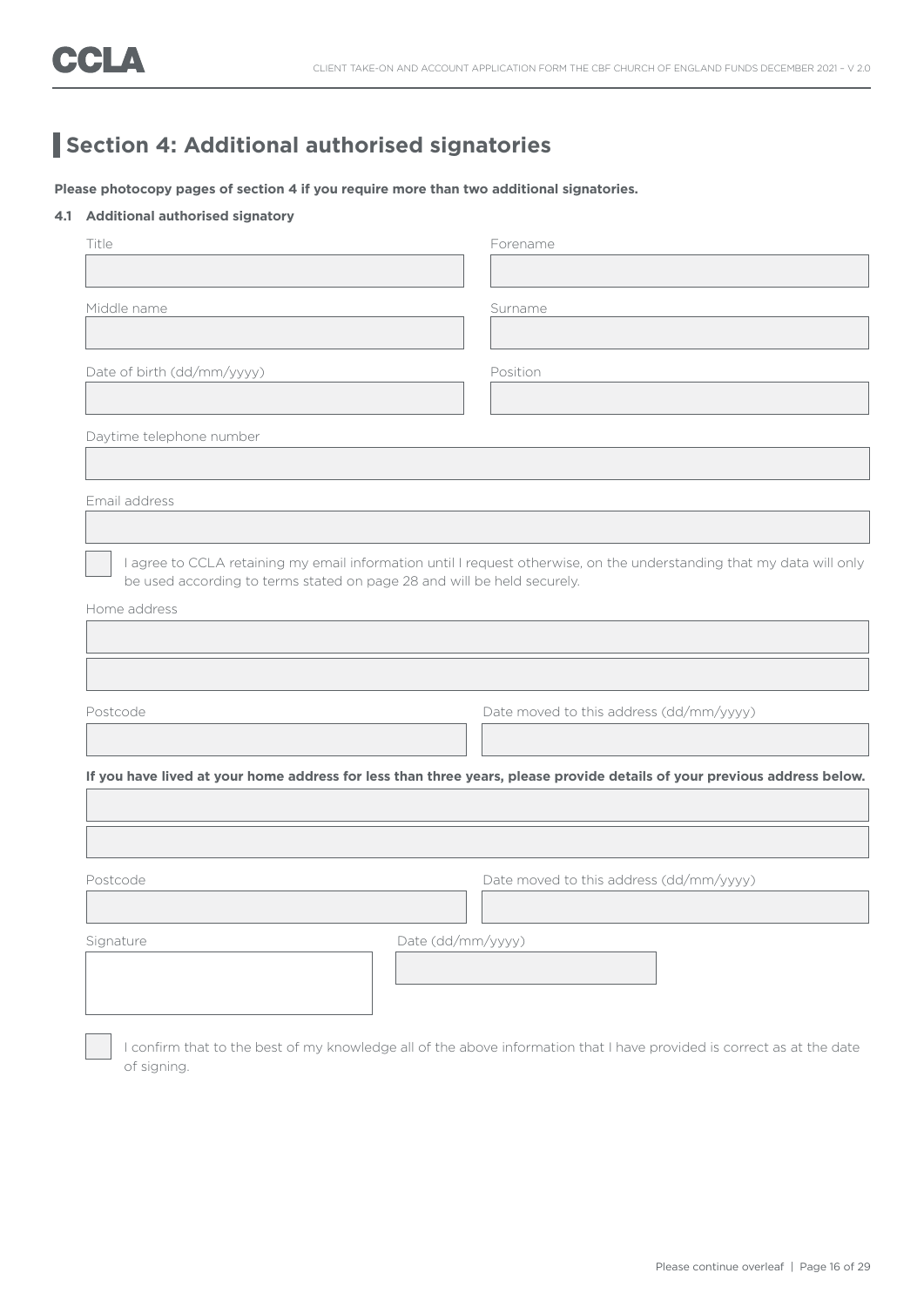# **Section 4: Additional authorised signatories**

**Please photocopy pages of section 4 if you require more than two additional signatories.**

### **4.1 Additional authorised signatory**

| Title                                                                   |                   | Forename                                                                                                                 |
|-------------------------------------------------------------------------|-------------------|--------------------------------------------------------------------------------------------------------------------------|
|                                                                         |                   |                                                                                                                          |
| Middle name                                                             |                   | Surname                                                                                                                  |
|                                                                         |                   |                                                                                                                          |
| Date of birth (dd/mm/yyyy)                                              |                   | Position                                                                                                                 |
|                                                                         |                   |                                                                                                                          |
| Daytime telephone number                                                |                   |                                                                                                                          |
|                                                                         |                   |                                                                                                                          |
| Email address                                                           |                   |                                                                                                                          |
|                                                                         |                   |                                                                                                                          |
|                                                                         |                   | I agree to CCLA retaining my email information until I request otherwise, on the understanding that my data will only    |
|                                                                         |                   |                                                                                                                          |
|                                                                         |                   |                                                                                                                          |
| be used according to terms stated on page 28 and will be held securely. |                   |                                                                                                                          |
| Home address                                                            |                   |                                                                                                                          |
|                                                                         |                   |                                                                                                                          |
|                                                                         |                   |                                                                                                                          |
|                                                                         |                   |                                                                                                                          |
| Postcode                                                                |                   | Date moved to this address (dd/mm/yyyy)                                                                                  |
|                                                                         |                   |                                                                                                                          |
|                                                                         |                   |                                                                                                                          |
|                                                                         |                   |                                                                                                                          |
|                                                                         |                   |                                                                                                                          |
|                                                                         |                   |                                                                                                                          |
| Postcode                                                                |                   | Date moved to this address (dd/mm/yyyy)                                                                                  |
|                                                                         |                   |                                                                                                                          |
| Signature                                                               | Date (dd/mm/yyyy) |                                                                                                                          |
|                                                                         |                   | If you have lived at your home address for less than three years, please provide details of your previous address below. |
|                                                                         |                   |                                                                                                                          |

 I confirm that to the best of my knowledge all of the above information that I have provided is correct as at the date of signing.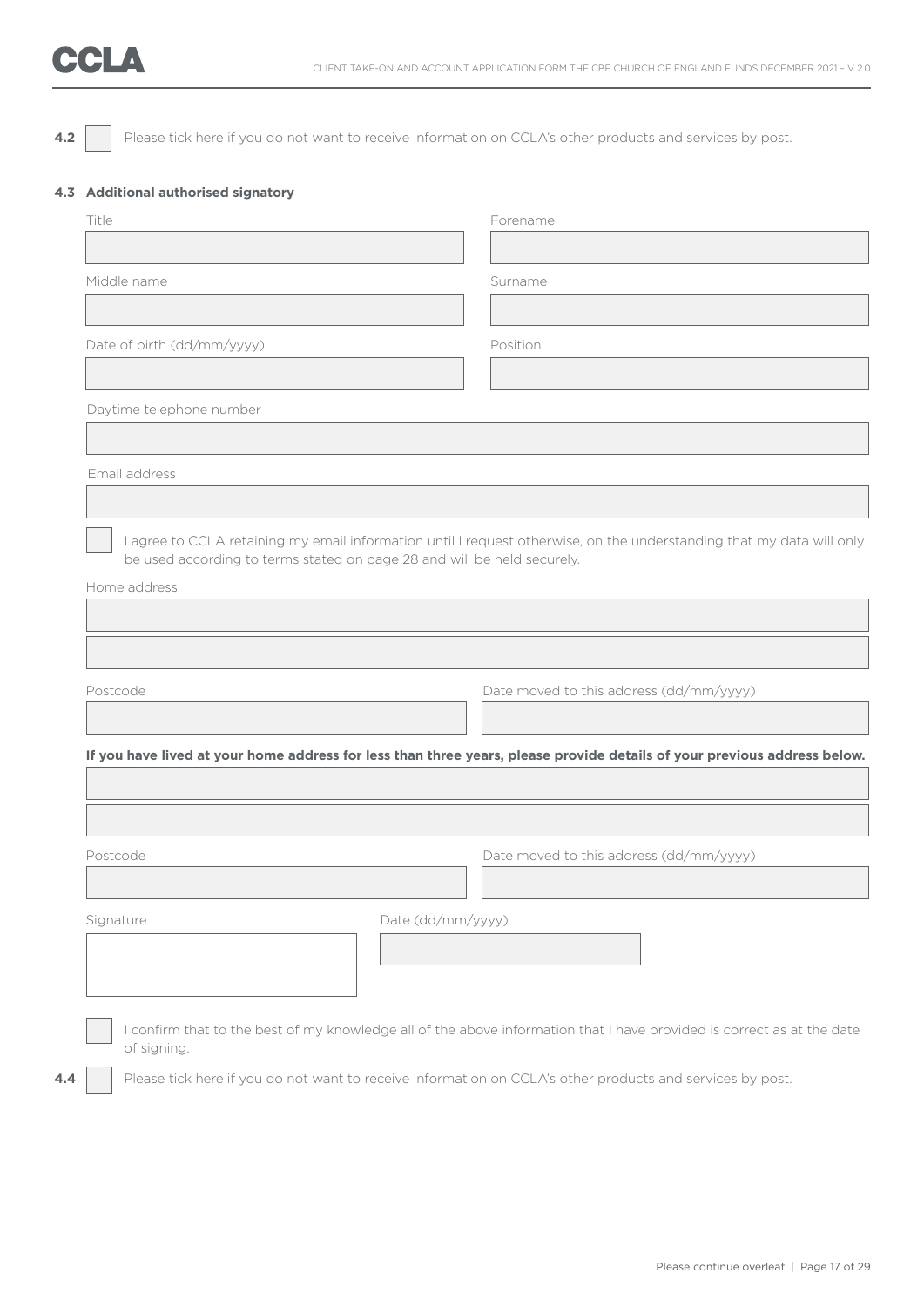# CCLA

**4.2** Please tick here if you do not want to receive information on CCLA's other products and services by post.

### **4.3 Additional authorised signatory**

| Middle name<br>Surname<br>Date of birth (dd/mm/yyyy)<br>Position<br>Daytime telephone number<br>Email address<br>I agree to CCLA retaining my email information until I request otherwise, on the understanding that my data will only<br>be used according to terms stated on page 28 and will be held securely.<br>Home address<br>Date moved to this address (dd/mm/yyyy)<br>Postcode<br>If you have lived at your home address for less than three years, please provide details of your previous address below.<br>Date moved to this address (dd/mm/yyyy)<br>Postcode<br>Date (dd/mm/yyyy)<br>Signature<br>I confirm that to the best of my knowledge all of the above information that I have provided is correct as at the date<br>of signing. | Title | Forename |
|--------------------------------------------------------------------------------------------------------------------------------------------------------------------------------------------------------------------------------------------------------------------------------------------------------------------------------------------------------------------------------------------------------------------------------------------------------------------------------------------------------------------------------------------------------------------------------------------------------------------------------------------------------------------------------------------------------------------------------------------------------|-------|----------|
|                                                                                                                                                                                                                                                                                                                                                                                                                                                                                                                                                                                                                                                                                                                                                        |       |          |
|                                                                                                                                                                                                                                                                                                                                                                                                                                                                                                                                                                                                                                                                                                                                                        |       |          |
|                                                                                                                                                                                                                                                                                                                                                                                                                                                                                                                                                                                                                                                                                                                                                        |       |          |
|                                                                                                                                                                                                                                                                                                                                                                                                                                                                                                                                                                                                                                                                                                                                                        |       |          |
|                                                                                                                                                                                                                                                                                                                                                                                                                                                                                                                                                                                                                                                                                                                                                        |       |          |
|                                                                                                                                                                                                                                                                                                                                                                                                                                                                                                                                                                                                                                                                                                                                                        |       |          |
|                                                                                                                                                                                                                                                                                                                                                                                                                                                                                                                                                                                                                                                                                                                                                        |       |          |
|                                                                                                                                                                                                                                                                                                                                                                                                                                                                                                                                                                                                                                                                                                                                                        |       |          |
|                                                                                                                                                                                                                                                                                                                                                                                                                                                                                                                                                                                                                                                                                                                                                        |       |          |
|                                                                                                                                                                                                                                                                                                                                                                                                                                                                                                                                                                                                                                                                                                                                                        |       |          |
|                                                                                                                                                                                                                                                                                                                                                                                                                                                                                                                                                                                                                                                                                                                                                        |       |          |
|                                                                                                                                                                                                                                                                                                                                                                                                                                                                                                                                                                                                                                                                                                                                                        |       |          |
|                                                                                                                                                                                                                                                                                                                                                                                                                                                                                                                                                                                                                                                                                                                                                        |       |          |
|                                                                                                                                                                                                                                                                                                                                                                                                                                                                                                                                                                                                                                                                                                                                                        |       |          |
|                                                                                                                                                                                                                                                                                                                                                                                                                                                                                                                                                                                                                                                                                                                                                        |       |          |
|                                                                                                                                                                                                                                                                                                                                                                                                                                                                                                                                                                                                                                                                                                                                                        |       |          |
|                                                                                                                                                                                                                                                                                                                                                                                                                                                                                                                                                                                                                                                                                                                                                        |       |          |
|                                                                                                                                                                                                                                                                                                                                                                                                                                                                                                                                                                                                                                                                                                                                                        |       |          |
|                                                                                                                                                                                                                                                                                                                                                                                                                                                                                                                                                                                                                                                                                                                                                        |       |          |
|                                                                                                                                                                                                                                                                                                                                                                                                                                                                                                                                                                                                                                                                                                                                                        |       |          |
|                                                                                                                                                                                                                                                                                                                                                                                                                                                                                                                                                                                                                                                                                                                                                        |       |          |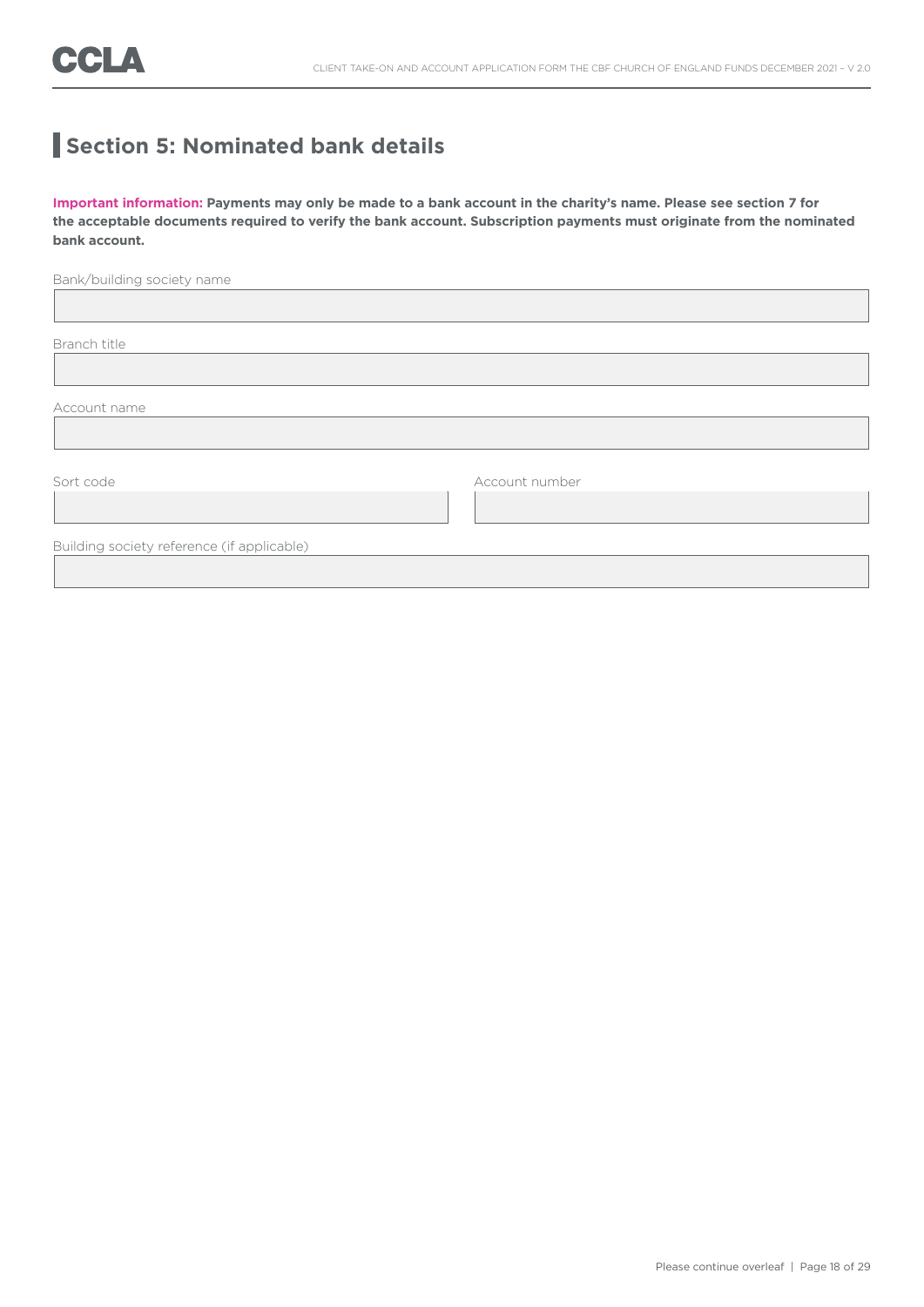# **Section 5: Nominated bank details**

**Important information: Payments may only be made to a bank account in the charity's name. Please see section 7 for the acceptable documents required to verify the bank account. Subscription payments must originate from the nominated bank account.**

| Bank/building society name                 |                |
|--------------------------------------------|----------------|
|                                            |                |
|                                            |                |
| Branch title                               |                |
|                                            |                |
|                                            |                |
| Account name                               |                |
|                                            |                |
|                                            |                |
| Sort code                                  | Account number |
|                                            |                |
|                                            |                |
| Building society reference (if applicable) |                |
|                                            |                |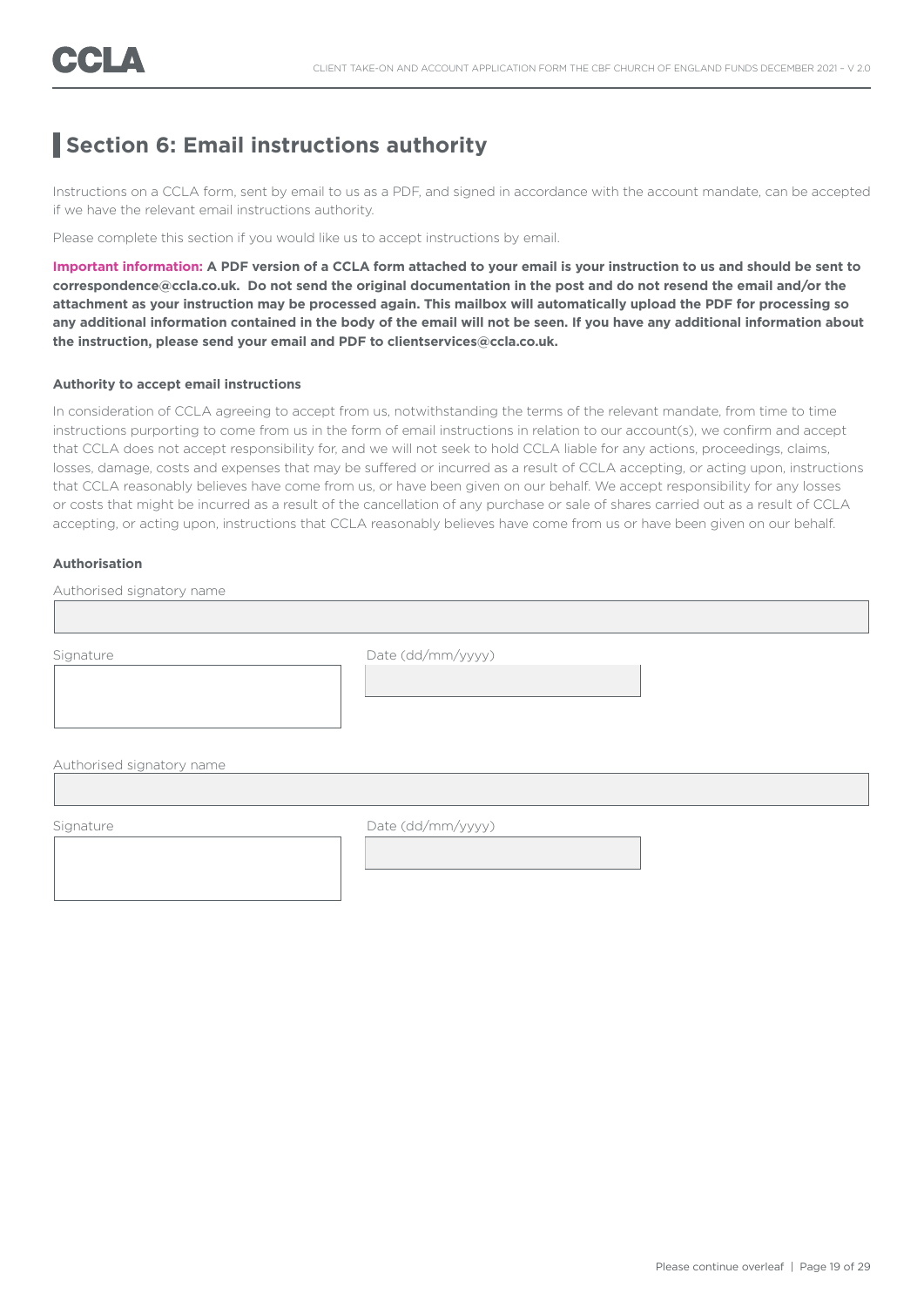### **Section 6: Email instructions authority**

Instructions on a CCLA form, sent by email to us as a PDF, and signed in accordance with the account mandate, can be accepted if we have the relevant email instructions authority.

Please complete this section if you would like us to accept instructions by email.

**Important information: A PDF version of a CCLA form attached to your email is your instruction to us and should be sent to correspondence@ccla.co.uk. Do not send the original documentation in the post and do not resend the email and/or the attachment as your instruction may be processed again. This mailbox will automatically upload the PDF for processing so any additional information contained in the body of the email will not be seen. If you have any additional information about the instruction, please send your email and PDF to clientservices@ccla.co.uk.**

#### **Authority to accept email instructions**

In consideration of CCLA agreeing to accept from us, notwithstanding the terms of the relevant mandate, from time to time instructions purporting to come from us in the form of email instructions in relation to our account(s), we confirm and accept that CCLA does not accept responsibility for, and we will not seek to hold CCLA liable for any actions, proceedings, claims, losses, damage, costs and expenses that may be suffered or incurred as a result of CCLA accepting, or acting upon, instructions that CCLA reasonably believes have come from us, or have been given on our behalf. We accept responsibility for any losses or costs that might be incurred as a result of the cancellation of any purchase or sale of shares carried out as a result of CCLA accepting, or acting upon, instructions that CCLA reasonably believes have come from us or have been given on our behalf.

### **Authorisation**

| Signature                 | Date (dd/mm/yyyy) |  |
|---------------------------|-------------------|--|
|                           |                   |  |
|                           |                   |  |
|                           |                   |  |
|                           |                   |  |
| Authorised signatory name |                   |  |

I

Signature Date (dd/mm/yyyy)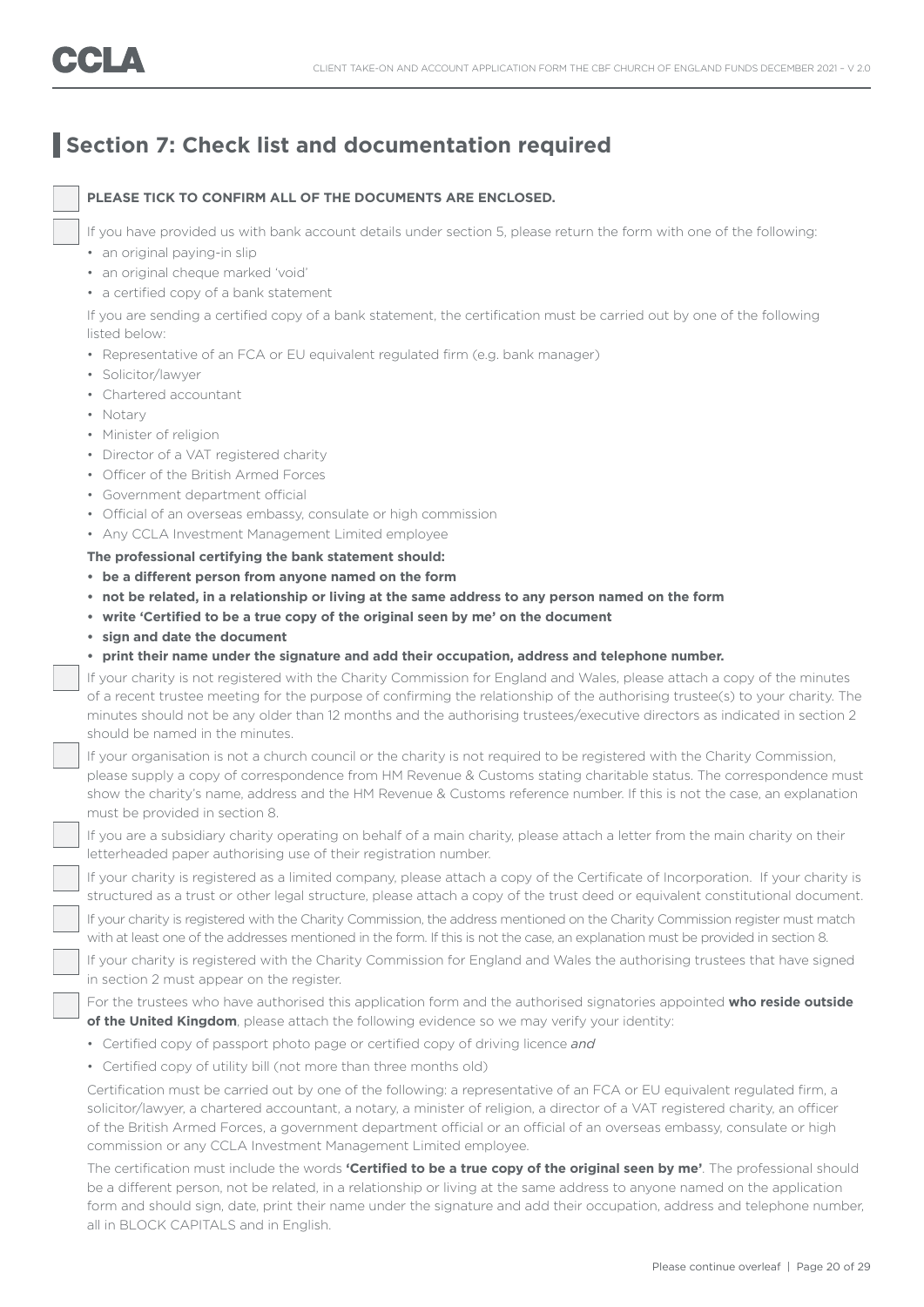### **Section 7: Check list and documentation required**

### **PLEASE TICK TO CONFIRM ALL OF THE DOCUMENTS ARE ENCLOSED.**

If you have provided us with bank account details under section 5, please return the form with one of the following:

- an original paying-in slip
- an original cheque marked 'void'
- a certified copy of a bank statement

 If you are sending a certified copy of a bank statement, the certification must be carried out by one of the following listed below:

- Representative of an FCA or EU equivalent regulated firm (e.g. bank manager)
- Solicitor/lawyer
- Chartered accountant
- Notary
- Minister of religion
- Director of a VAT registered charity
- Officer of the British Armed Forces
- Government department official
- Official of an overseas embassy, consulate or high commission
- Any CCLA Investment Management Limited employee

### **The professional certifying the bank statement should:**

- **• be a different person from anyone named on the form**
- **• not be related, in a relationship or living at the same address to any person named on the form**
- **• write 'Certified to be a true copy of the original seen by me' on the document**
- **• sign and date the document**
- **• print their name under the signature and add their occupation, address and telephone number.**

 If your charity is not registered with the Charity Commission for England and Wales, please attach a copy of the minutes of a recent trustee meeting for the purpose of confirming the relationship of the authorising trustee(s) to your charity. The minutes should not be any older than 12 months and the authorising trustees/executive directors as indicated in section 2 should be named in the minutes.

 If your organisation is not a church council or the charity is not required to be registered with the Charity Commission, please supply a copy of correspondence from HM Revenue & Customs stating charitable status. The correspondence must show the charity's name, address and the HM Revenue & Customs reference number. If this is not the case, an explanation must be provided in section 8.

 If you are a subsidiary charity operating on behalf of a main charity, please attach a letter from the main charity on their letterheaded paper authorising use of their registration number.

 If your charity is registered as a limited company, please attach a copy of the Certificate of Incorporation. If your charity is structured as a trust or other legal structure, please attach a copy of the trust deed or equivalent constitutional document.

 If your charity is registered with the Charity Commission, the address mentioned on the Charity Commission register must match with at least one of the addresses mentioned in the form. If this is not the case, an explanation must be provided in section 8.

 If your charity is registered with the Charity Commission for England and Wales the authorising trustees that have signed in section 2 must appear on the register.

 For the trustees who have authorised this application form and the authorised signatories appointed **who reside outside of the United Kingdom**, please attach the following evidence so we may verify your identity:

- Certified copy of passport photo page or certified copy of driving licence *and*
- Certified copy of utility bill (not more than three months old)

 Certification must be carried out by one of the following: a representative of an FCA or EU equivalent regulated firm, a solicitor/lawyer, a chartered accountant, a notary, a minister of religion, a director of a VAT registered charity, an officer of the British Armed Forces, a government department official or an official of an overseas embassy, consulate or high commission or any CCLA Investment Management Limited employee.

 The certification must include the words **'Certified to be a true copy of the original seen by me'**. The professional should be a different person, not be related, in a relationship or living at the same address to anyone named on the application form and should sign, date, print their name under the signature and add their occupation, address and telephone number, all in BLOCK CAPITALS and in English.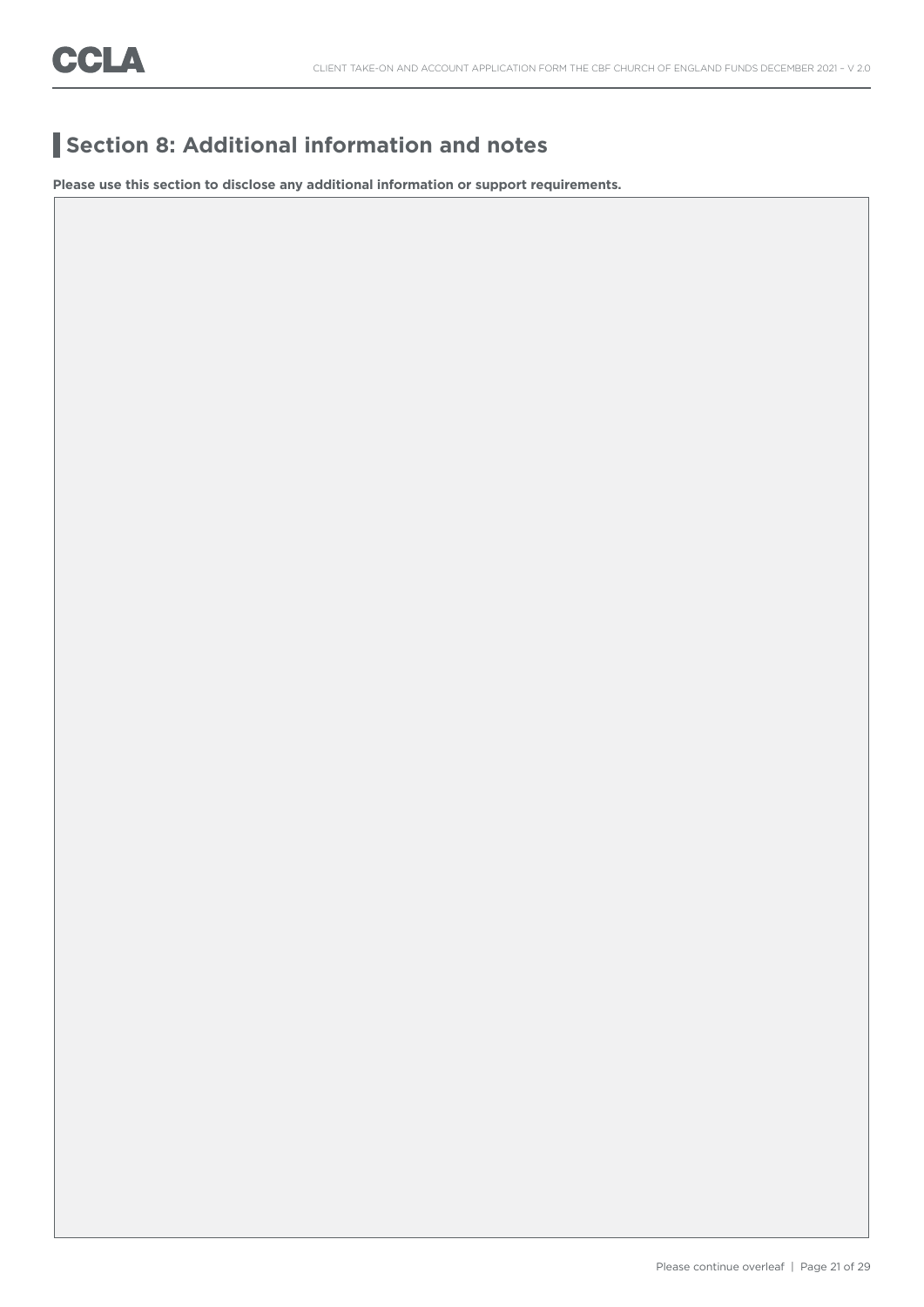# **Section 8: Additional information and notes**

**Please use this section to disclose any additional information or support requirements.**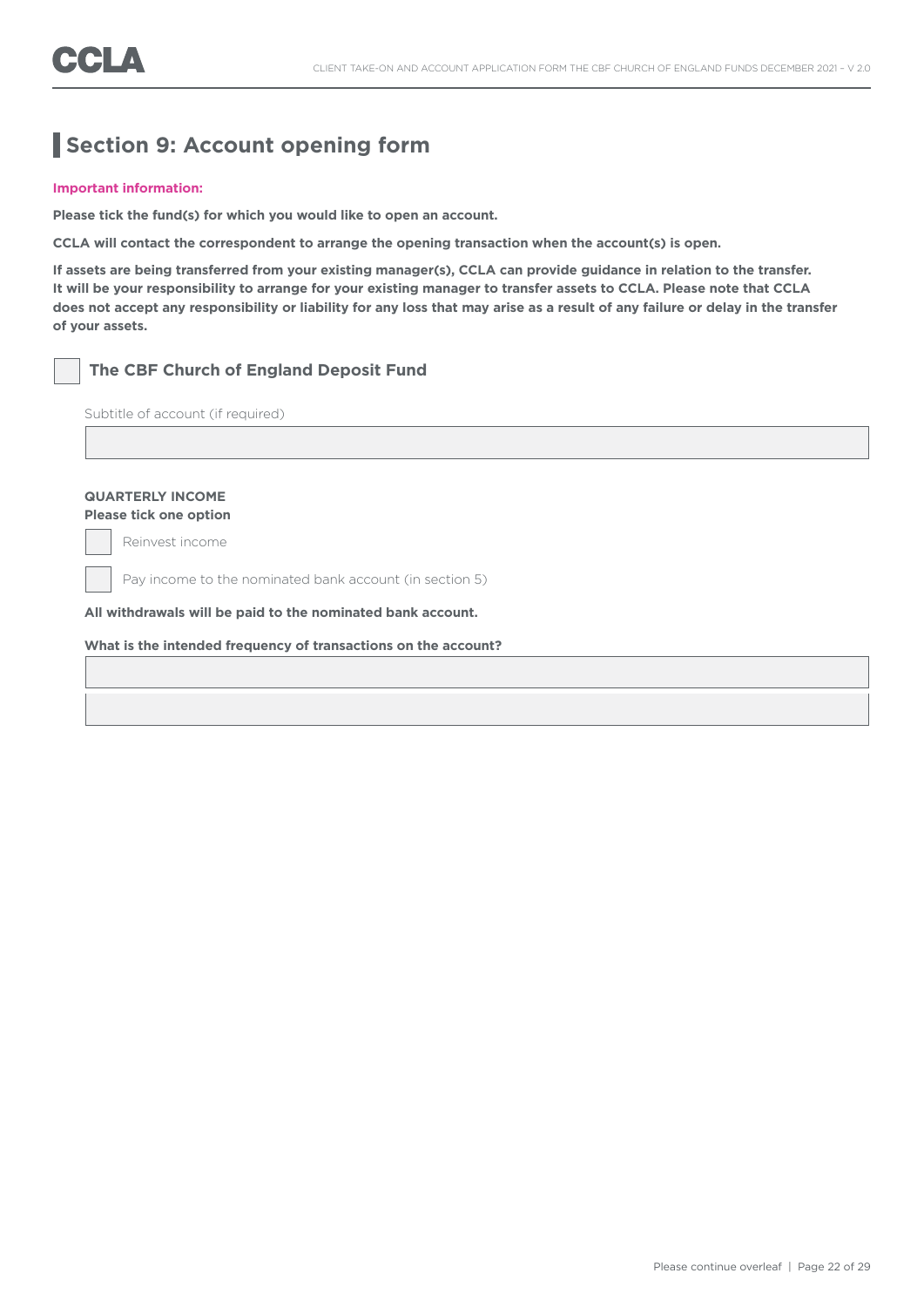## **Section 9: Account opening form**

#### **Important information:**

**Please tick the fund(s) for which you would like to open an account.** 

**CCLA will contact the correspondent to arrange the opening transaction when the account(s) is open.** 

**If assets are being transferred from your existing manager(s), CCLA can provide guidance in relation to the transfer. It will be your responsibility to arrange for your existing manager to transfer assets to CCLA. Please note that CCLA does not accept any responsibility or liability for any loss that may arise as a result of any failure or delay in the transfer of your assets.**

### **The CBF Church of England Deposit Fund**

Subtitle of account (if required)

### **QUARTERLY INCOME**

**Please tick one option**

Reinvest income

Pay income to the nominated bank account (in section 5)

**All withdrawals will be paid to the nominated bank account.**

### **What is the intended frequency of transactions on the account?**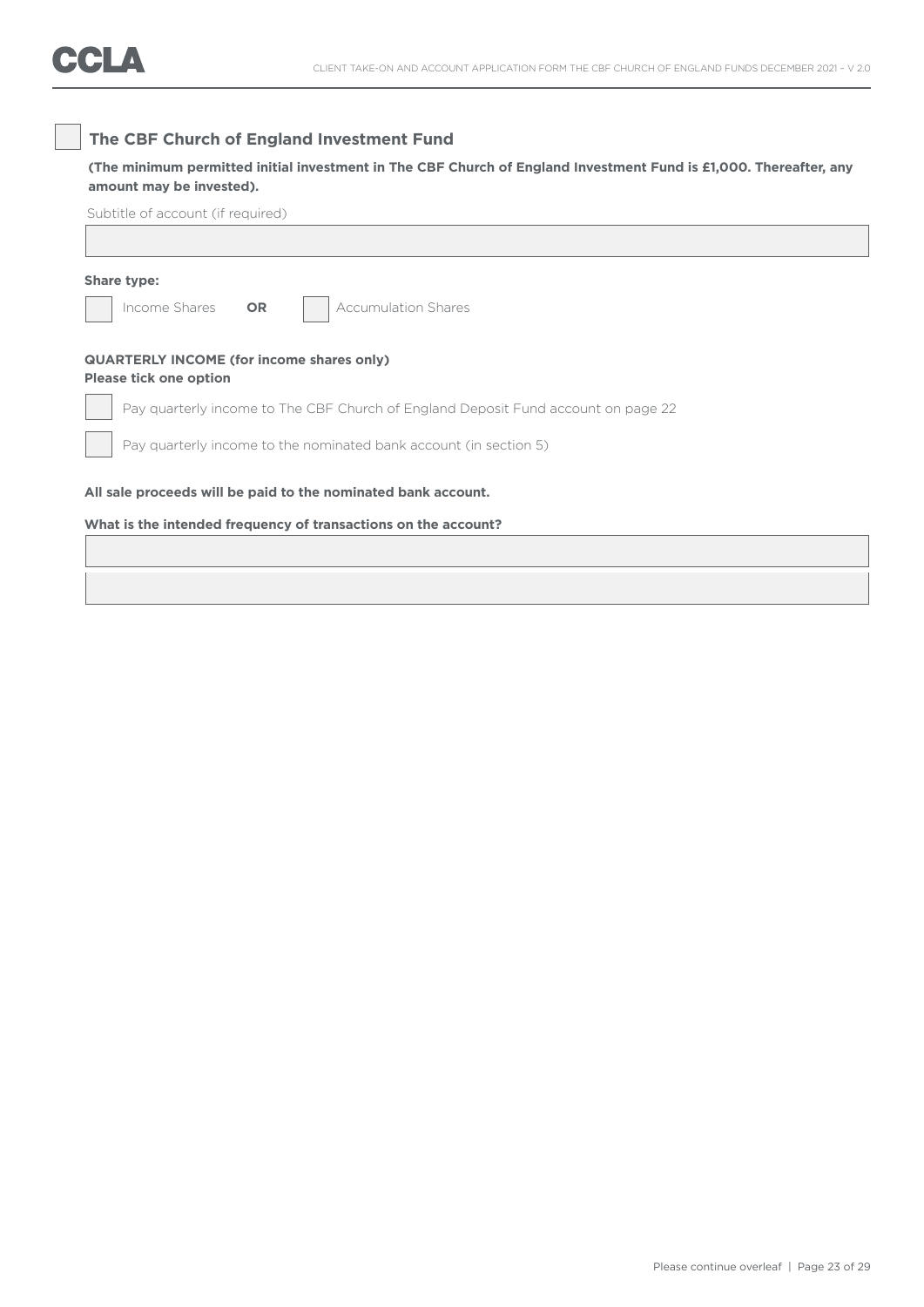### **The CBF Church of England Investment Fund**

### **(The minimum permitted initial investment in The CBF Church of England Investment Fund is £1,000. Thereafter, any amount may be invested).**

| Share type:                   |                                                                                   |
|-------------------------------|-----------------------------------------------------------------------------------|
| Income Shares                 | <b>Accumulation Shares</b><br><b>OR</b>                                           |
| <b>Please tick one option</b> | <b>QUARTERLY INCOME (for income shares only)</b>                                  |
|                               | Pay quarterly income to The CBF Church of England Deposit Fund account on page 22 |
|                               | Pay quarterly income to the nominated bank account (in section 5)                 |
|                               | All sale proceeds will be paid to the nominated bank account.                     |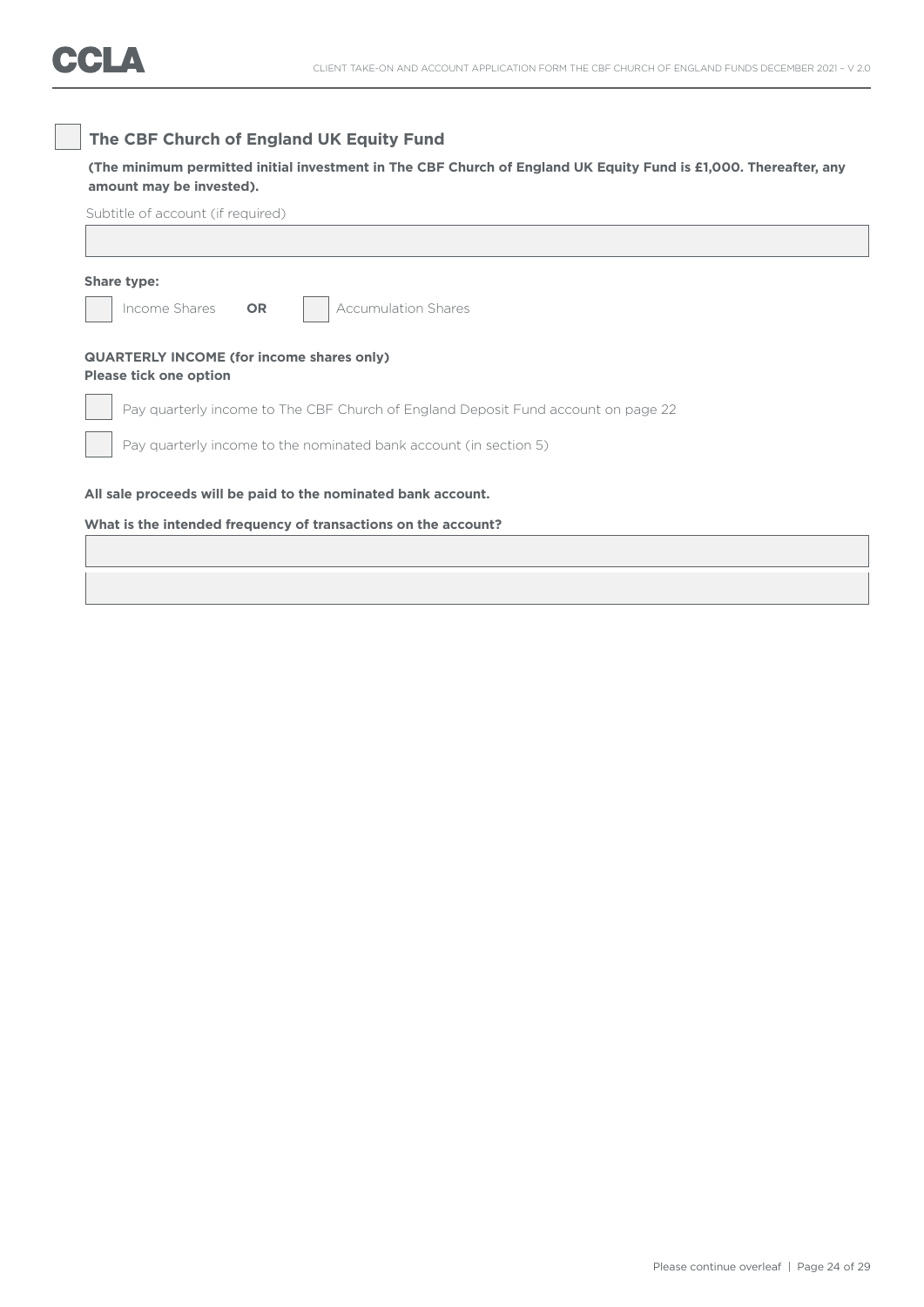### **The CBF Church of England UK Equity Fund**

### **(The minimum permitted initial investment in The CBF Church of England UK Equity Fund is £1,000. Thereafter, any amount may be invested).**

| Share type:                                                                       |
|-----------------------------------------------------------------------------------|
| Income Shares<br><b>Accumulation Shares</b><br><b>OR</b>                          |
| <b>QUARTERLY INCOME (for income shares only)</b><br><b>Please tick one option</b> |
| Pay quarterly income to The CBF Church of England Deposit Fund account on page 22 |
| Pay quarterly income to the nominated bank account (in section 5)                 |
| All sale proceeds will be paid to the nominated bank account.                     |
| What is the intended frequency of transactions on the account?                    |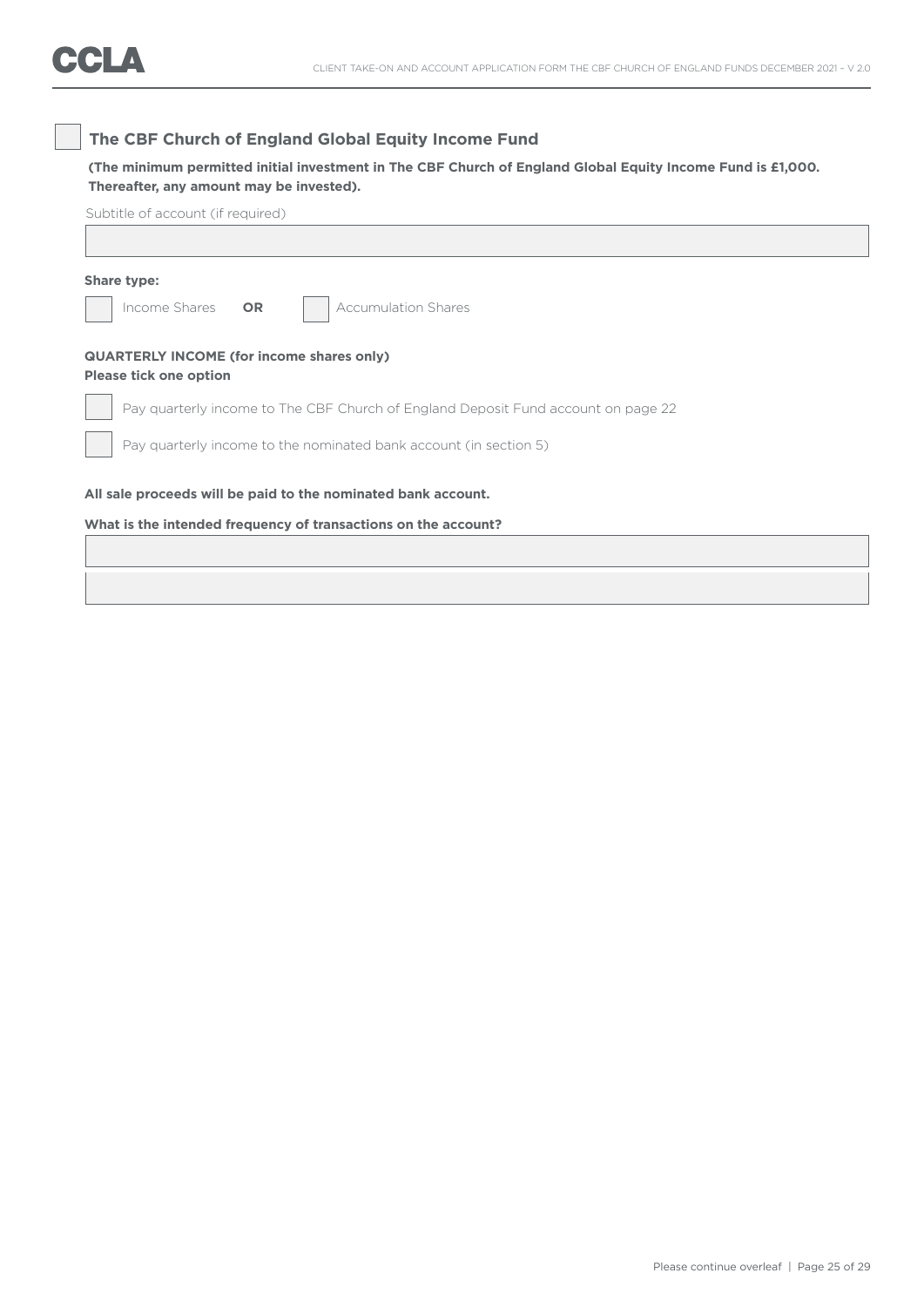### **The CBF Church of England Global Equity Income Fund**

**(The minimum permitted initial investment in The CBF Church of England Global Equity Income Fund is £1,000. Thereafter, any amount may be invested).**

| Share type: |                                                                                   |  |
|-------------|-----------------------------------------------------------------------------------|--|
|             | Income Shares<br><b>Accumulation Shares</b><br><b>OR</b>                          |  |
|             | <b>QUARTERLY INCOME (for income shares only)</b><br><b>Please tick one option</b> |  |
|             | Pay quarterly income to The CBF Church of England Deposit Fund account on page 22 |  |
|             | Pay quarterly income to the nominated bank account (in section 5)                 |  |
|             | All sale proceeds will be paid to the nominated bank account.                     |  |
|             | What is the intended frequency of transactions on the account?                    |  |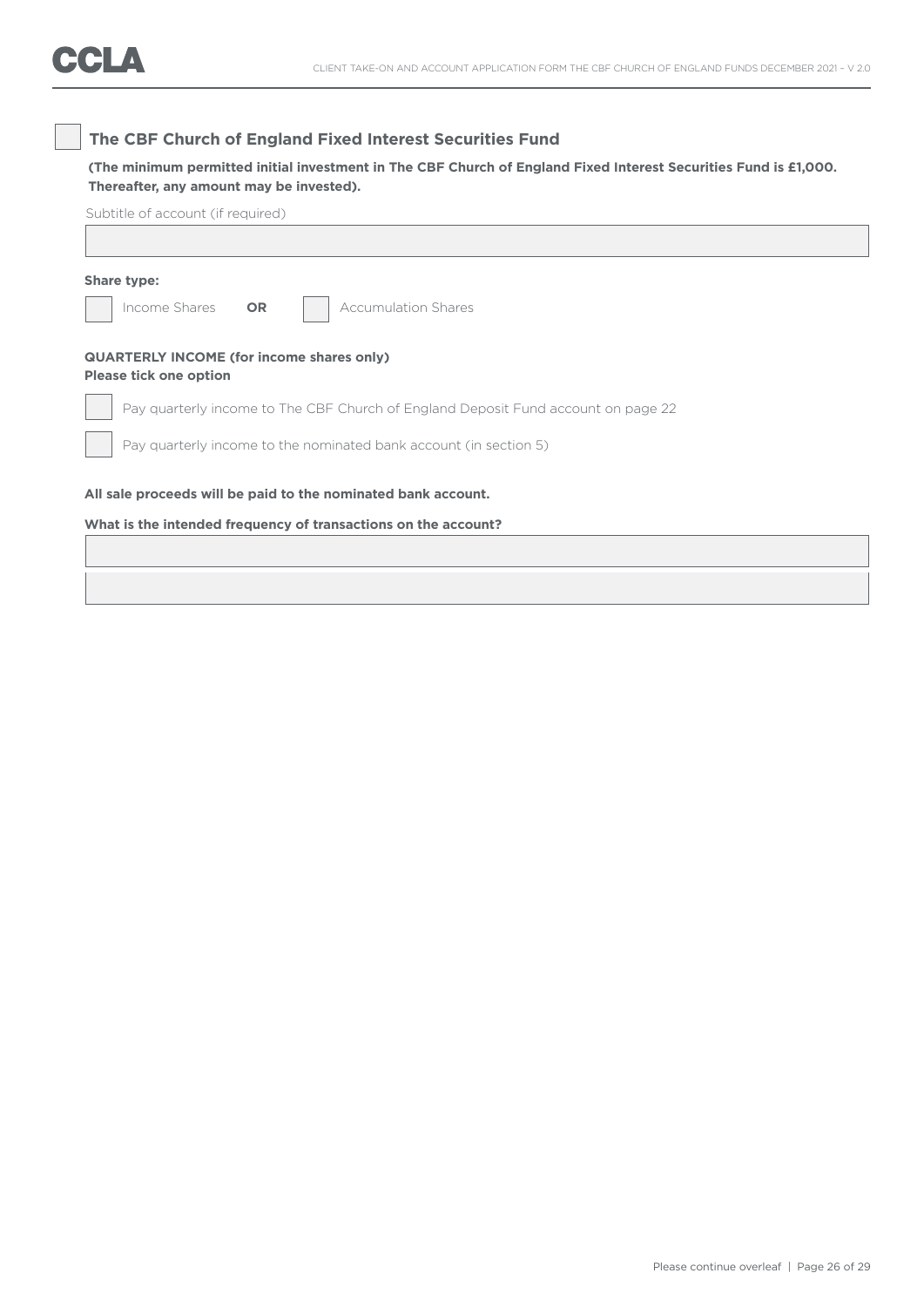### **The CBF Church of England Fixed Interest Securities Fund**

**(The minimum permitted initial investment in The CBF Church of England Fixed Interest Securities Fund is £1,000. Thereafter, any amount may be invested).**

| Share type:                                                                       |                                                                                   |
|-----------------------------------------------------------------------------------|-----------------------------------------------------------------------------------|
| Income Shares<br><b>OR</b>                                                        | <b>Accumulation Shares</b>                                                        |
| <b>QUARTERLY INCOME (for income shares only)</b><br><b>Please tick one option</b> |                                                                                   |
|                                                                                   | Pay quarterly income to The CBF Church of England Deposit Fund account on page 22 |
|                                                                                   | Pay quarterly income to the nominated bank account (in section 5)                 |
|                                                                                   | All sale proceeds will be paid to the nominated bank account.                     |
|                                                                                   | What is the intended frequency of transactions on the account?                    |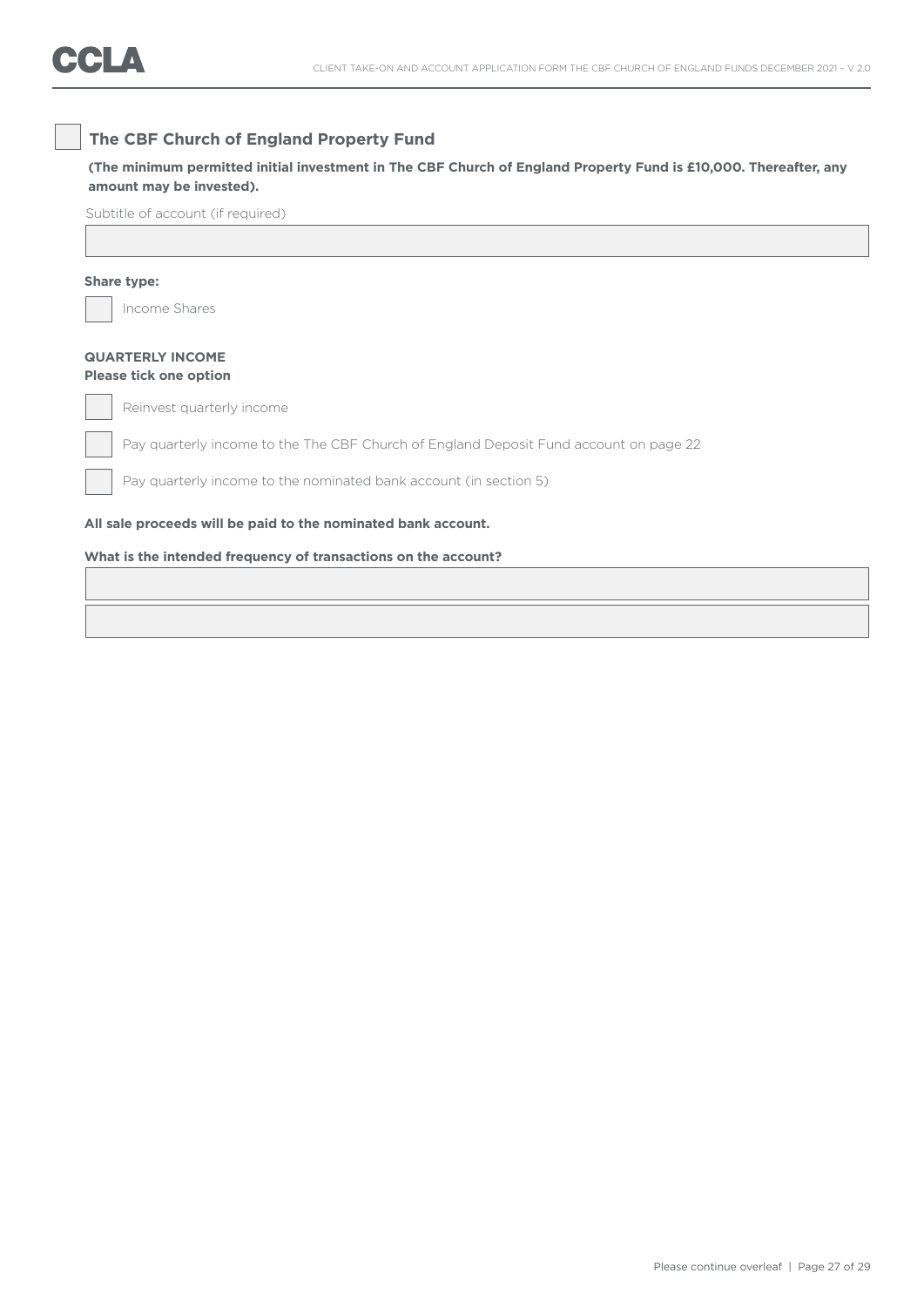### **The CBF Church of England Property Fund**

### **(The minimum permitted initial investment in The CBF Church of England Property Fund is £10,000. Thereafter, any amount may be invested).**

Subtitle of account (if required)

### **Share type:**

Income Shares

### **QUARTERLY INCOME Please tick one option**

Reinvest quarterly income

Pay quarterly income to the The CBF Church of England Deposit Fund account on page 22

Pay quarterly income to the nominated bank account (in section 5)

### **All sale proceeds will be paid to the nominated bank account.**

### **What is the intended frequency of transactions on the account?**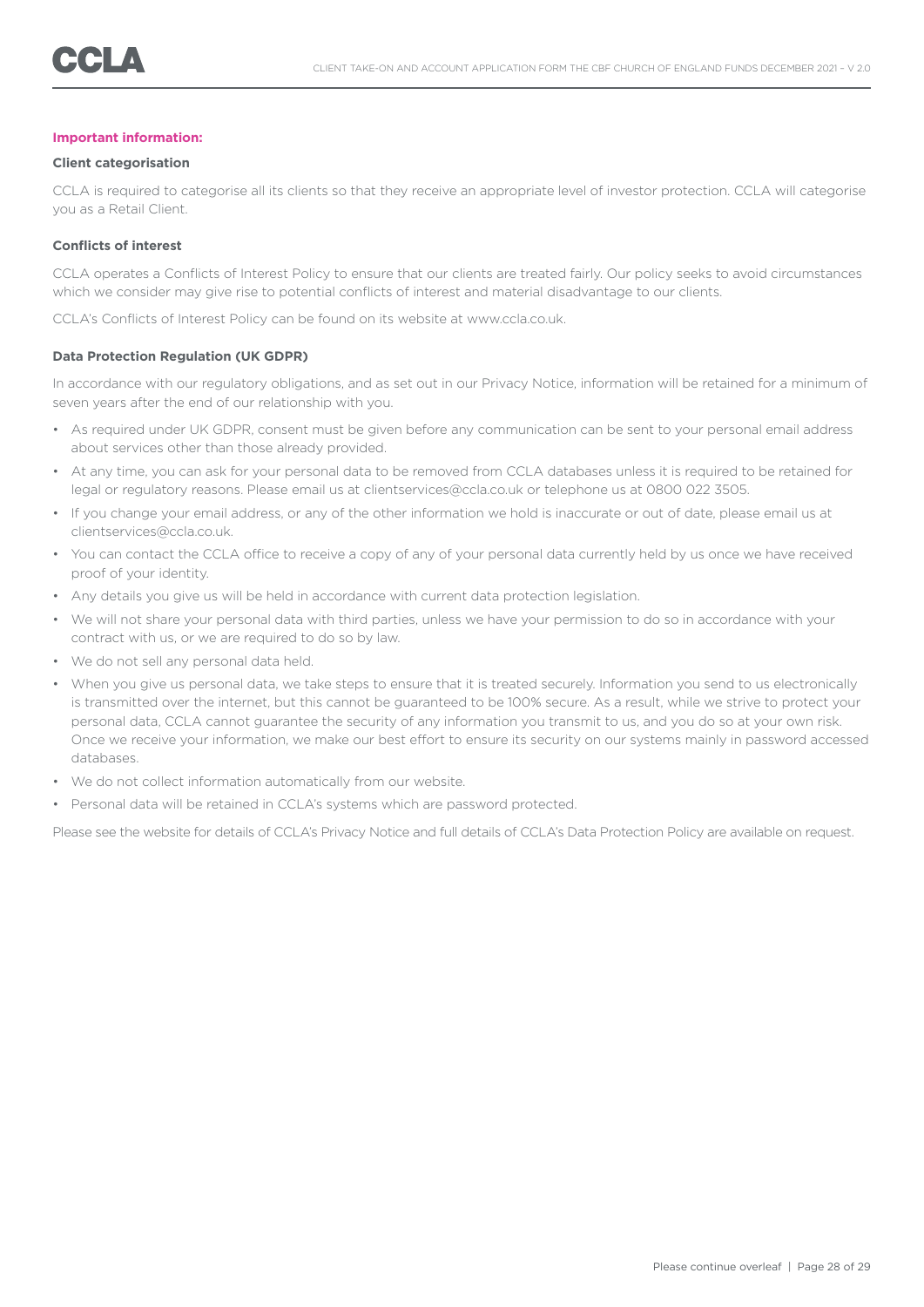#### **Important information:**

#### **Client categorisation**

CCLA is required to categorise all its clients so that they receive an appropriate level of investor protection. CCLA will categorise you as a Retail Client.

### **Conflicts of interest**

CCLA operates a Conflicts of Interest Policy to ensure that our clients are treated fairly. Our policy seeks to avoid circumstances which we consider may give rise to potential conflicts of interest and material disadvantage to our clients.

CCLA's Conflicts of Interest Policy can be found on its website at www.ccla.co.uk.

#### **Data Protection Regulation (UK GDPR)**

In accordance with our regulatory obligations, and as set out in our Privacy Notice, information will be retained for a minimum of seven years after the end of our relationship with you.

- As required under UK GDPR, consent must be given before any communication can be sent to your personal email address about services other than those already provided.
- At any time, you can ask for your personal data to be removed from CCLA databases unless it is required to be retained for legal or regulatory reasons. Please email us at clientservices@ccla.co.uk or telephone us at 0800 022 3505.
- If you change your email address, or any of the other information we hold is inaccurate or out of date, please email us at clientservices@ccla.co.uk.
- You can contact the CCLA office to receive a copy of any of your personal data currently held by us once we have received proof of your identity.
- Any details you give us will be held in accordance with current data protection legislation.
- We will not share your personal data with third parties, unless we have your permission to do so in accordance with your contract with us, or we are required to do so by law.
- We do not sell any personal data held.
- When you give us personal data, we take steps to ensure that it is treated securely. Information you send to us electronically is transmitted over the internet, but this cannot be guaranteed to be 100% secure. As a result, while we strive to protect your personal data, CCLA cannot guarantee the security of any information you transmit to us, and you do so at your own risk. Once we receive your information, we make our best effort to ensure its security on our systems mainly in password accessed databases.
- We do not collect information automatically from our website.
- Personal data will be retained in CCLA's systems which are password protected.

Please see the website for details of CCLA's Privacy Notice and full details of CCLA's Data Protection Policy are available on request.